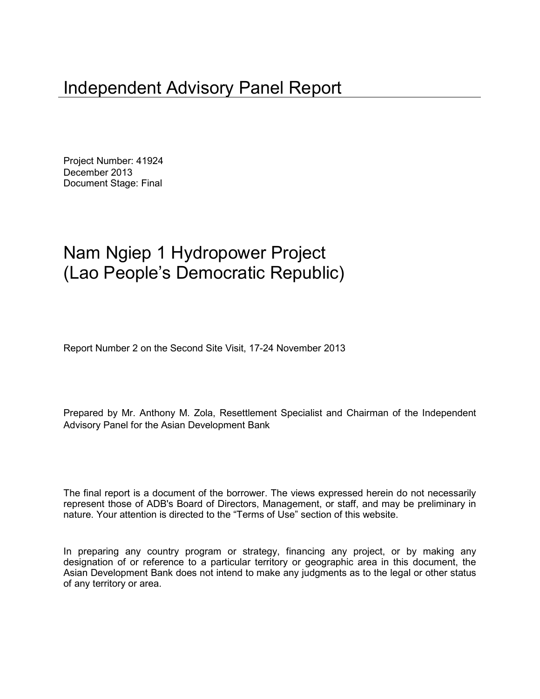Project Number: 41924 December 2013 Document Stage: Final

# Nam Ngiep 1 Hydropower Project (Lao People's Democratic Republic)

Report Number 2 on the Second Site Visit, 17-24 November 2013

Prepared by Mr. Anthony M. Zola, Resettlement Specialist and Chairman of the Independent Advisory Panel for the Asian Development Bank

The final report is a document of the borrower. The views expressed herein do not necessarily represent those of ADB's Board of Directors, Management, or staff, and may be preliminary in nature. Your attention is directed to the "Terms of Use" section of this website.

In preparing any country program or strategy, financing any project, or by making any designation of or reference to a particular territory or geographic area in this document, the Asian Development Bank does not intend to make any judgments as to the legal or other status of any territory or area.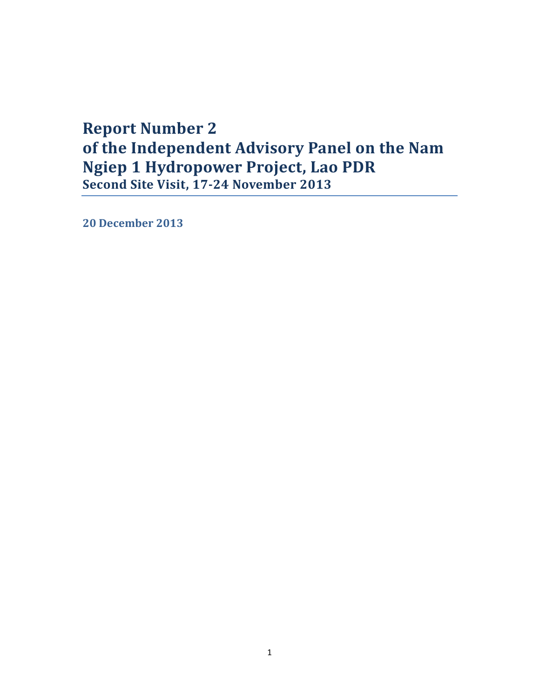## **Report Number 2 of the Independent Advisory Panel on the Nam Ngiep 1 Hydropower Project, Lao PDR Second Site Visit, 17-24 November 2013**

**20 December 2013**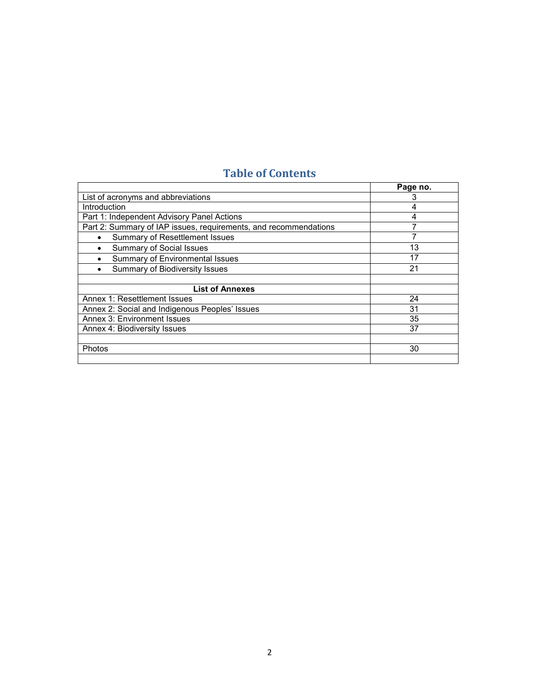## **Table of Contents**

|                                                                  | Page no. |
|------------------------------------------------------------------|----------|
| List of acronyms and abbreviations                               |          |
| <b>Introduction</b>                                              | 4        |
| Part 1: Independent Advisory Panel Actions                       | 4        |
| Part 2: Summary of IAP issues, requirements, and recommendations |          |
| Summary of Resettlement Issues<br>٠                              |          |
| <b>Summary of Social Issues</b><br>٠                             | 13       |
| Summary of Environmental Issues                                  | 17       |
| Summary of Biodiversity Issues<br>٠                              | 21       |
|                                                                  |          |
| <b>List of Annexes</b>                                           |          |
| Annex 1: Resettlement Issues                                     | 24       |
| Annex 2: Social and Indigenous Peoples' Issues                   | 31       |
| Annex 3: Environment Issues                                      | 35       |
| Annex 4: Biodiversity Issues                                     | 37       |
|                                                                  |          |
| Photos                                                           | 30       |
|                                                                  |          |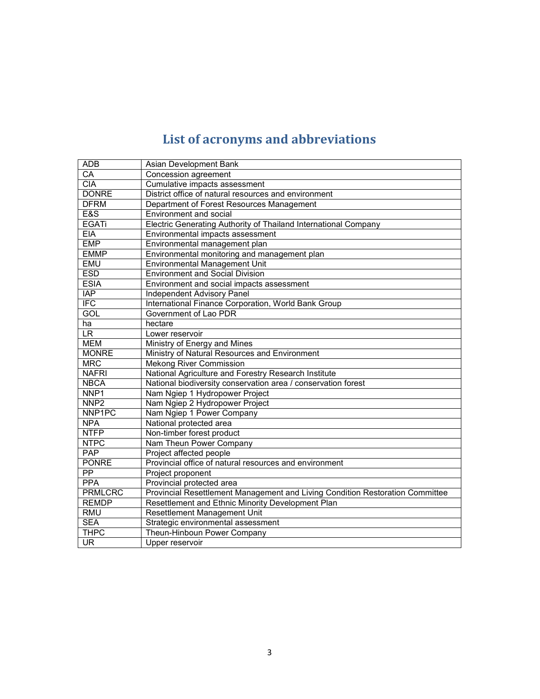# **List of acronyms and abbreviations**

| <b>ADB</b>               | Asian Development Bank                                                        |
|--------------------------|-------------------------------------------------------------------------------|
| $C\overline{A}$          | Concession agreement                                                          |
| <b>CIA</b>               | Cumulative impacts assessment                                                 |
| <b>DONRE</b>             | District office of natural resources and environment                          |
| <b>DFRM</b>              | Department of Forest Resources Management                                     |
| E&S                      | Environment and social                                                        |
| <b>EGATi</b>             | Electric Generating Authority of Thailand International Company               |
| <b>EIA</b>               | Environmental impacts assessment                                              |
| <b>EMP</b>               | Environmental management plan                                                 |
| <b>EMMP</b>              | Environmental monitoring and management plan                                  |
| <b>EMU</b>               | <b>Environmental Management Unit</b>                                          |
| <b>ESD</b>               | <b>Environment and Social Division</b>                                        |
| <b>ESIA</b>              | Environment and social impacts assessment                                     |
| $\overline{AP}$          | <b>Independent Advisory Panel</b>                                             |
| IFC                      | International Finance Corporation, World Bank Group                           |
| <b>GOL</b>               | Government of Lao PDR                                                         |
| ha                       | hectare                                                                       |
| LR                       | Lower reservoir                                                               |
| <b>MEM</b>               | Ministry of Energy and Mines                                                  |
| <b>MONRE</b>             | Ministry of Natural Resources and Environment                                 |
| <b>MRC</b>               | <b>Mekong River Commission</b>                                                |
| <b>NAFRI</b>             | National Agriculture and Forestry Research Institute                          |
| <b>NBCA</b>              | National biodiversity conservation area / conservation forest                 |
| NNP1                     | Nam Ngiep 1 Hydropower Project                                                |
| NNP <sub>2</sub>         | Nam Ngiep 2 Hydropower Project                                                |
| NNP1PC                   | Nam Ngiep 1 Power Company                                                     |
| <b>NPA</b>               | National protected area                                                       |
| <b>NTFP</b>              | Non-timber forest product                                                     |
| <b>NTPC</b>              | Nam Theun Power Company                                                       |
| PAP                      | Project affected people                                                       |
| <b>PONRE</b>             | Provincial office of natural resources and environment                        |
| PP                       | Project proponent                                                             |
| <b>PPA</b>               | Provincial protected area                                                     |
| <b>PRMLCRC</b>           | Provincial Resettlement Management and Living Condition Restoration Committee |
| <b>REMDP</b>             | Resettlement and Ethnic Minority Development Plan                             |
| <b>RMU</b>               | Resettlement Management Unit                                                  |
| <b>SEA</b>               | Strategic environmental assessment                                            |
| <b>THPC</b>              | Theun-Hinboun Power Company                                                   |
| $\overline{\mathsf{UR}}$ | Upper reservoir                                                               |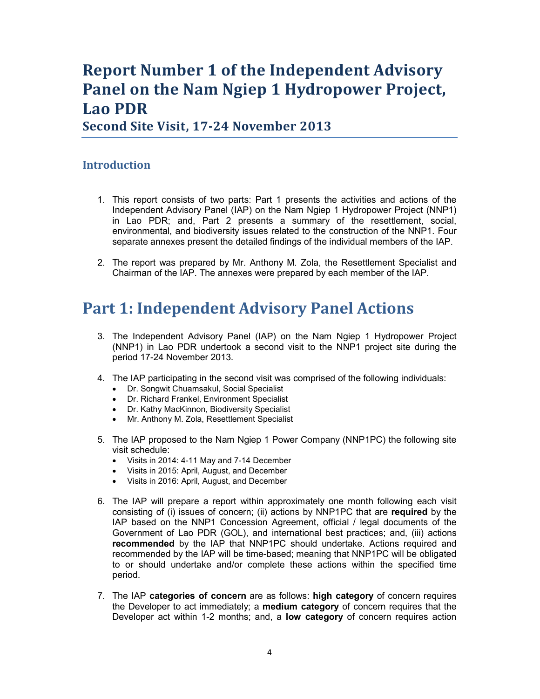# **Report Number 1 of the Independent Advisory Panel on the Nam Ngiep 1 Hydropower Project, Lao PDR**

**Second Site Visit, 17-24 November 2013** 

#### **Introduction**

- 1. This report consists of two parts: Part 1 presents the activities and actions of the Independent Advisory Panel (IAP) on the Nam Ngiep 1 Hydropower Project (NNP1) in Lao PDR; and, Part 2 presents a summary of the resettlement, social, environmental, and biodiversity issues related to the construction of the NNP1. Four separate annexes present the detailed findings of the individual members of the IAP.
- 2. The report was prepared by Mr. Anthony M. Zola, the Resettlement Specialist and Chairman of the IAP. The annexes were prepared by each member of the IAP.

## **Part 1: Independent Advisory Panel Actions**

- 3. The Independent Advisory Panel (IAP) on the Nam Ngiep 1 Hydropower Project (NNP1) in Lao PDR undertook a second visit to the NNP1 project site during the period 17-24 November 2013.
- 4. The IAP participating in the second visit was comprised of the following individuals:
	- Dr. Songwit Chuamsakul, Social Specialist
	- Dr. Richard Frankel, Environment Specialist
	- Dr. Kathy MacKinnon, Biodiversity Specialist
	- Mr. Anthony M. Zola, Resettlement Specialist
- 5. The IAP proposed to the Nam Ngiep 1 Power Company (NNP1PC) the following site visit schedule:
	- Visits in 2014: 4-11 May and 7-14 December
	- Visits in 2015: April, August, and December
	- Visits in 2016: April, August, and December
- 6. The IAP will prepare a report within approximately one month following each visit consisting of (i) issues of concern; (ii) actions by NNP1PC that are **required** by the IAP based on the NNP1 Concession Agreement, official / legal documents of the Government of Lao PDR (GOL), and international best practices; and, (iii) actions **recommended** by the IAP that NNP1PC should undertake. Actions required and recommended by the IAP will be time-based; meaning that NNP1PC will be obligated to or should undertake and/or complete these actions within the specified time period.
- 7. The IAP **categories of concern** are as follows: **high category** of concern requires the Developer to act immediately; a **medium category** of concern requires that the Developer act within 1-2 months; and, a **low category** of concern requires action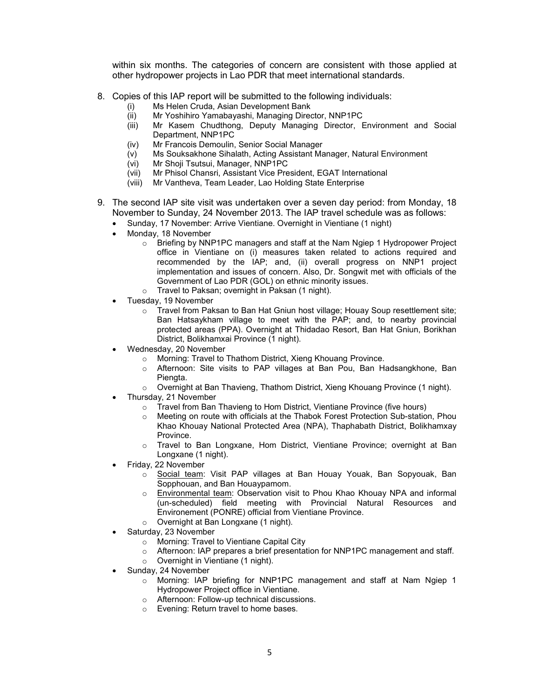within six months. The categories of concern are consistent with those applied at other hydropower projects in Lao PDR that meet international standards.

- 8. Copies of this IAP report will be submitted to the following individuals:
	- (i) Ms Helen Cruda, Asian Development Bank
	- (ii) Mr Yoshihiro Yamabayashi, Managing Director, NNP1PC
	- (iii) Mr Kasem Chudthong, Deputy Managing Director, Environment and Social Department, NNP1PC
	- (iv) Mr Francois Demoulin, Senior Social Manager
	- (v) Ms Souksakhone Sihalath, Acting Assistant Manager, Natural Environment
	- (vi) Mr Shoji Tsutsui, Manager, NNP1PC
	- (vii) Mr Phisol Chansri, Assistant Vice President, EGAT International
	- (viii) Mr Vantheva, Team Leader, Lao Holding State Enterprise
- 9. The second IAP site visit was undertaken over a seven day period: from Monday, 18 November to Sunday, 24 November 2013. The IAP travel schedule was as follows:
	- Sunday, 17 November: Arrive Vientiane. Overnight in Vientiane (1 night)
	- Monday, 18 November
		- o Briefing by NNP1PC managers and staff at the Nam Ngiep 1 Hydropower Project office in Vientiane on (i) measures taken related to actions required and recommended by the IAP; and, (ii) overall progress on NNP1 project implementation and issues of concern. Also, Dr. Songwit met with officials of the Government of Lao PDR (GOL) on ethnic minority issues.
		- o Travel to Paksan; overnight in Paksan (1 night).
	- Tuesday, 19 November
		- $\circ$  Travel from Paksan to Ban Hat Gniun host village; Houay Soup resettlement site; Ban Hatsaykham village to meet with the PAP; and, to nearby provincial protected areas (PPA). Overnight at Thidadao Resort, Ban Hat Gniun, Borikhan District, Bolikhamxai Province (1 night).
	- Wednesday, 20 November
		- o Morning: Travel to Thathom District, Xieng Khouang Province.
		- Afternoon: Site visits to PAP villages at Ban Pou, Ban Hadsangkhone, Ban Piengta.
		- $\circ$  Overnight at Ban Thavieng, Thathom District, Xieng Khouang Province (1 night).
	- Thursday, 21 November
		- o Travel from Ban Thavieng to Hom District, Vientiane Province (five hours)
		- Meeting on route with officials at the Thabok Forest Protection Sub-station, Phou Khao Khouay National Protected Area (NPA), Thaphabath District, Bolikhamxay Province.
		- o Travel to Ban Longxane, Hom District, Vientiane Province; overnight at Ban Longxane (1 night).
	- Friday, 22 November
		- o Social team: Visit PAP villages at Ban Houay Youak, Ban Sopyouak, Ban Sopphouan, and Ban Houaypamom.
		- o Environmental team: Observation visit to Phou Khao Khouay NPA and informal (un-scheduled) field meeting with Provincial Natural Resources and Environement (PONRE) official from Vientiane Province.
		- o Overnight at Ban Longxane (1 night).
	- Saturday, 23 November
		- o Morning: Travel to Vientiane Capital City
		- o Afternoon: IAP prepares a brief presentation for NNP1PC management and staff.
		- o Overnight in Vientiane (1 night).
	- Sunday, 24 November
		- $\circ$  Morning: IAP briefing for NNP1PC management and staff at Nam Ngiep 1 Hydropower Project office in Vientiane.
		- o Afternoon: Follow-up technical discussions.
		- o Evening: Return travel to home bases.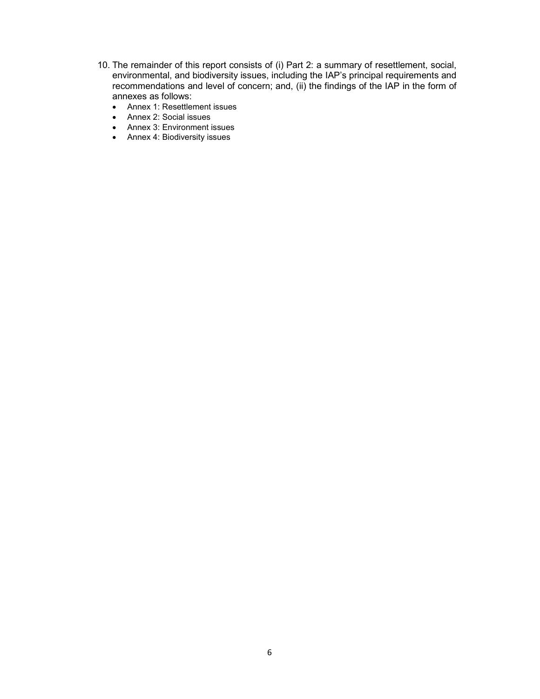- 10. The remainder of this report consists of (i) Part 2: a summary of resettlement, social, environmental, and biodiversity issues, including the IAP's principal requirements and recommendations and level of concern; and, (ii) the findings of the IAP in the form of annexes as follows:
	- Annex 1: Resettlement issues
	- Annex 2: Social issues
	- Annex 3: Environment issues
	- Annex 4: Biodiversity issues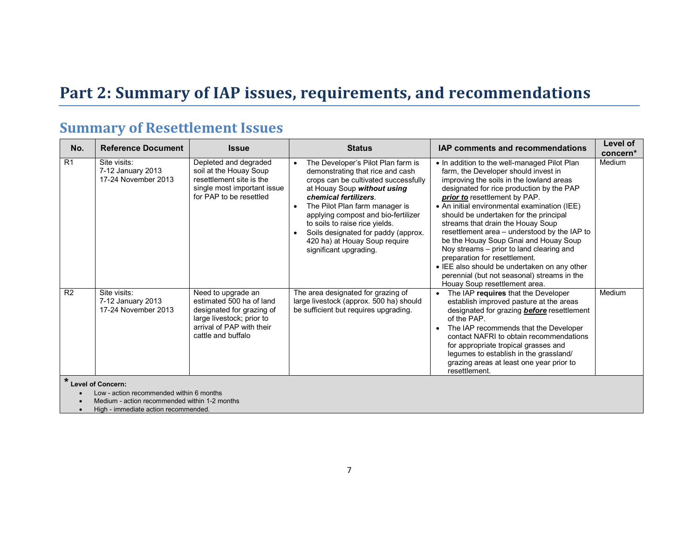# **Part 2: Summary of IAP issues, requirements, and recommendations**

## **Summary of Resettlement Issues**

| No.            | <b>Reference Document</b>                                                                 | <b>Issue</b>                                                                                                                                                | <b>Status</b>                                                                                                                                                                                                                                                                                                                                                                                    | <b>IAP comments and recommendations</b>                                                                                                                                                                                                                                                                                                                                                                                                                                                                                                                                                                                                             | Level of<br>concern* |
|----------------|-------------------------------------------------------------------------------------------|-------------------------------------------------------------------------------------------------------------------------------------------------------------|--------------------------------------------------------------------------------------------------------------------------------------------------------------------------------------------------------------------------------------------------------------------------------------------------------------------------------------------------------------------------------------------------|-----------------------------------------------------------------------------------------------------------------------------------------------------------------------------------------------------------------------------------------------------------------------------------------------------------------------------------------------------------------------------------------------------------------------------------------------------------------------------------------------------------------------------------------------------------------------------------------------------------------------------------------------------|----------------------|
| R <sub>1</sub> | Site visits:<br>7-12 January 2013<br>17-24 November 2013                                  | Depleted and degraded<br>soil at the Houay Soup<br>resettlement site is the<br>single most important issue<br>for PAP to be resettled                       | The Developer's Pilot Plan farm is<br>$\bullet$<br>demonstrating that rice and cash<br>crops can be cultivated successfully<br>at Houay Soup without using<br>chemical fertilizers.<br>The Pilot Plan farm manager is<br>applying compost and bio-fertilizer<br>to soils to raise rice yields.<br>Soils designated for paddy (approx.<br>420 ha) at Houay Soup require<br>significant upgrading. | • In addition to the well-managed Pilot Plan<br>farm, the Developer should invest in<br>improving the soils in the lowland areas<br>designated for rice production by the PAP<br>prior to resettlement by PAP.<br>• An initial environmental examination (IEE)<br>should be undertaken for the principal<br>streams that drain the Houay Soup<br>resettlement area - understood by the IAP to<br>be the Houay Soup Gnai and Houay Soup<br>Noy streams - prior to land clearing and<br>preparation for resettlement.<br>• IEE also should be undertaken on any other<br>perennial (but not seasonal) streams in the<br>Houay Soup resettlement area. | Medium               |
| R <sub>2</sub> | Site visits:<br>7-12 January 2013<br>17-24 November 2013                                  | Need to upgrade an<br>estimated 500 ha of land<br>designated for grazing of<br>large livestock; prior to<br>arrival of PAP with their<br>cattle and buffalo | The area designated for grazing of<br>large livestock (approx. 500 ha) should<br>be sufficient but requires upgrading.                                                                                                                                                                                                                                                                           | The IAP requires that the Developer<br>$\bullet$<br>establish improved pasture at the areas<br>designated for grazing <b>before</b> resettlement<br>of the PAP.<br>The IAP recommends that the Developer<br>$\bullet$<br>contact NAFRI to obtain recommendations<br>for appropriate tropical grasses and<br>legumes to establish in the grassland/<br>grazing areas at least one year prior to<br>resettlement.                                                                                                                                                                                                                                     | Medium               |
|                | <b>Level of Concern:</b>                                                                  |                                                                                                                                                             |                                                                                                                                                                                                                                                                                                                                                                                                  |                                                                                                                                                                                                                                                                                                                                                                                                                                                                                                                                                                                                                                                     |                      |
|                | Low - action recommended within 6 months<br>Medium - action recommended within 1-2 months |                                                                                                                                                             |                                                                                                                                                                                                                                                                                                                                                                                                  |                                                                                                                                                                                                                                                                                                                                                                                                                                                                                                                                                                                                                                                     |                      |

• High - immediate action recommended.

Ï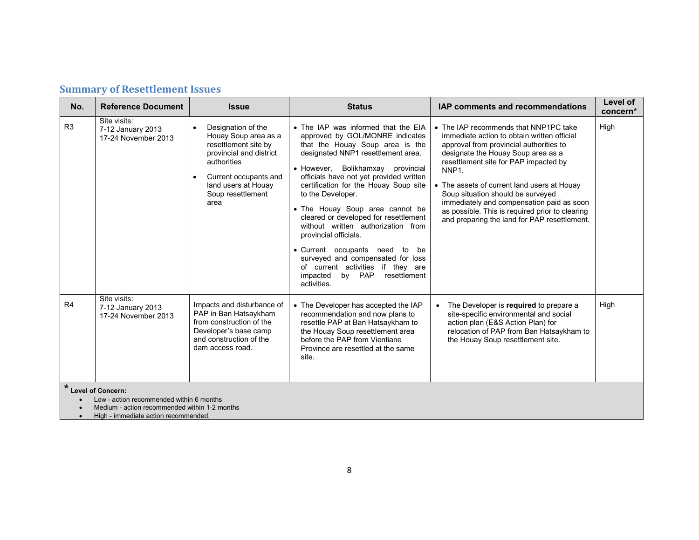| No. | <b>Reference Document</b>                                | <b>Issue</b>                                                                                                                                                                              | <b>Status</b>                                                                                                                                                                                                                                                                                                                                                                                                                                                                                                                                                                                                | <b>IAP comments and recommendations</b>                                                                                                                                                                                                                                                                                                                                                                                                                                  | Level of<br>concern* |
|-----|----------------------------------------------------------|-------------------------------------------------------------------------------------------------------------------------------------------------------------------------------------------|--------------------------------------------------------------------------------------------------------------------------------------------------------------------------------------------------------------------------------------------------------------------------------------------------------------------------------------------------------------------------------------------------------------------------------------------------------------------------------------------------------------------------------------------------------------------------------------------------------------|--------------------------------------------------------------------------------------------------------------------------------------------------------------------------------------------------------------------------------------------------------------------------------------------------------------------------------------------------------------------------------------------------------------------------------------------------------------------------|----------------------|
| R3  | Site visits:<br>7-12 January 2013<br>17-24 November 2013 | Designation of the<br>Houay Soup area as a<br>resettlement site by<br>provincial and district<br>authorities<br>Current occupants and<br>land users at Houay<br>Soup resettlement<br>area | • The IAP was informed that the EIA<br>approved by GOL/MONRE indicates<br>that the Houay Soup area is the<br>designated NNP1 resettlement area.<br>• However, Bolikhamxay provincial<br>officials have not yet provided written<br>certification for the Houay Soup site<br>to the Developer.<br>• The Houay Soup area cannot be<br>cleared or developed for resettlement<br>without written authorization from<br>provincial officials.<br>• Current occupants need to<br>be<br>surveyed and compensated for loss<br>of current activities if they are<br>impacted<br>by PAP<br>resettlement<br>activities. | • The IAP recommends that NNP1PC take<br>immediate action to obtain written official<br>approval from provincial authorities to<br>designate the Houay Soup area as a<br>resettlement site for PAP impacted by<br>NNP <sub>1</sub> .<br>• The assets of current land users at Houay<br>Soup situation should be surveyed<br>immediately and compensation paid as soon<br>as possible. This is required prior to clearing<br>and preparing the land for PAP resettlement. | High                 |
| R4  | Site visits:<br>7-12 January 2013<br>17-24 November 2013 | Impacts and disturbance of<br>PAP in Ban Hatsaykham<br>from construction of the<br>Developer's base camp<br>and construction of the<br>dam access road.                                   | • The Developer has accepted the IAP<br>recommendation and now plans to<br>resettle PAP at Ban Hatsaykham to<br>the Houay Soup resettlement area<br>before the PAP from Vientiane<br>Province are resettled at the same<br>site.                                                                                                                                                                                                                                                                                                                                                                             | The Developer is required to prepare a<br>$\bullet$<br>site-specific environmental and social<br>action plan (E&S Action Plan) for<br>relocation of PAP from Ban Hatsaykham to<br>the Houay Soup resettlement site.                                                                                                                                                                                                                                                      | High                 |
|     | <b>Level of Concern:</b>                                 |                                                                                                                                                                                           |                                                                                                                                                                                                                                                                                                                                                                                                                                                                                                                                                                                                              |                                                                                                                                                                                                                                                                                                                                                                                                                                                                          |                      |
|     | Low - action recommended within 6 months                 |                                                                                                                                                                                           |                                                                                                                                                                                                                                                                                                                                                                                                                                                                                                                                                                                                              |                                                                                                                                                                                                                                                                                                                                                                                                                                                                          |                      |

## **Summary of Resettlement Issues**

• Medium - action recommended within 1-2 months

• High - immediate action recommended.

Ï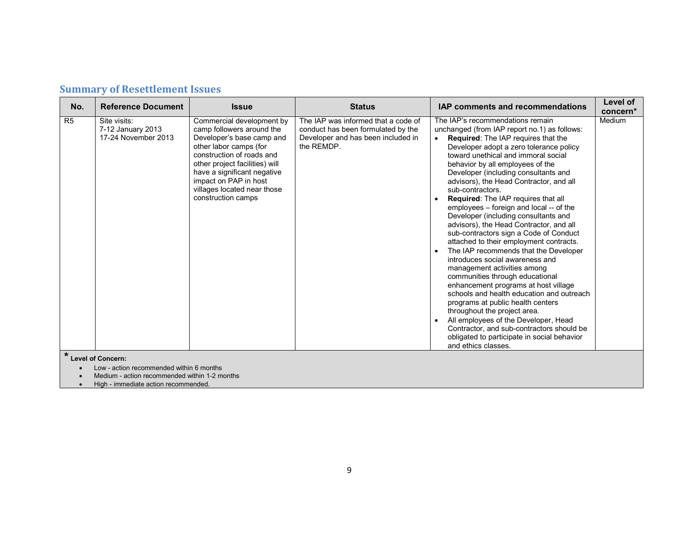| <b>Summary of Resettlement Issues</b> |  |  |  |  |
|---------------------------------------|--|--|--|--|
|---------------------------------------|--|--|--|--|

| No.            | <b>Reference Document</b>                                                                                             | <b>Issue</b>                                                                                                                                                                                                                                                                              | <b>Status</b>                                                                                                                 | <b>IAP comments and recommendations</b>                                                                                                                                                                                                                                                                                                                                                                                                                                                                                                                                                                                                                                                                                                                                                                                                                                                                                                                                                                                                                                           | Level of<br>concern* |
|----------------|-----------------------------------------------------------------------------------------------------------------------|-------------------------------------------------------------------------------------------------------------------------------------------------------------------------------------------------------------------------------------------------------------------------------------------|-------------------------------------------------------------------------------------------------------------------------------|-----------------------------------------------------------------------------------------------------------------------------------------------------------------------------------------------------------------------------------------------------------------------------------------------------------------------------------------------------------------------------------------------------------------------------------------------------------------------------------------------------------------------------------------------------------------------------------------------------------------------------------------------------------------------------------------------------------------------------------------------------------------------------------------------------------------------------------------------------------------------------------------------------------------------------------------------------------------------------------------------------------------------------------------------------------------------------------|----------------------|
| R <sub>5</sub> | Site visits:<br>7-12 January 2013<br>17-24 November 2013                                                              | Commercial development by<br>camp followers around the<br>Developer's base camp and<br>other labor camps (for<br>construction of roads and<br>other project facilities) will<br>have a significant negative<br>impact on PAP in host<br>villages located near those<br>construction camps | The IAP was informed that a code of<br>conduct has been formulated by the<br>Developer and has been included in<br>the REMDP. | The IAP's recommendations remain<br>unchanged (from IAP report no.1) as follows:<br>Required: The IAP requires that the<br>Developer adopt a zero tolerance policy<br>toward unethical and immoral social<br>behavior by all employees of the<br>Developer (including consultants and<br>advisors), the Head Contractor, and all<br>sub-contractors.<br>Required: The IAP requires that all<br>employees - foreign and local -- of the<br>Developer (including consultants and<br>advisors), the Head Contractor, and all<br>sub-contractors sign a Code of Conduct<br>attached to their employment contracts.<br>The IAP recommends that the Developer<br>introduces social awareness and<br>management activities among<br>communities through educational<br>enhancement programs at host village<br>schools and health education and outreach<br>programs at public health centers<br>throughout the project area.<br>All employees of the Developer, Head<br>Contractor, and sub-contractors should be<br>obligated to participate in social behavior<br>and ethics classes. | Medium               |
| $\star$        | <b>Level of Concern:</b><br>Low - action recommended within 6 months<br>Medium - action recommended within 1-2 months |                                                                                                                                                                                                                                                                                           |                                                                                                                               |                                                                                                                                                                                                                                                                                                                                                                                                                                                                                                                                                                                                                                                                                                                                                                                                                                                                                                                                                                                                                                                                                   |                      |
|                |                                                                                                                       |                                                                                                                                                                                                                                                                                           |                                                                                                                               |                                                                                                                                                                                                                                                                                                                                                                                                                                                                                                                                                                                                                                                                                                                                                                                                                                                                                                                                                                                                                                                                                   |                      |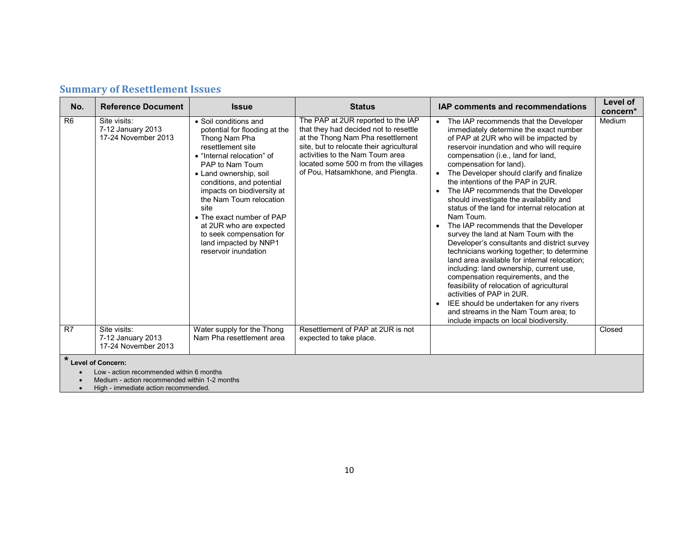| No.            | <b>Reference Document</b>                                       | <b>Issue</b>                                                                                                                                                                                                                                                                                                                                                                                               | <b>Status</b>                                                                                                                                                                                                                                                                | <b>IAP comments and recommendations</b>                                                                                                                                                                                                                                                                                                                                                                                                                                                                                                                                                                                                                                                                                                                                                                                                                                                                                                                                                                                    | Level of<br>concern* |
|----------------|-----------------------------------------------------------------|------------------------------------------------------------------------------------------------------------------------------------------------------------------------------------------------------------------------------------------------------------------------------------------------------------------------------------------------------------------------------------------------------------|------------------------------------------------------------------------------------------------------------------------------------------------------------------------------------------------------------------------------------------------------------------------------|----------------------------------------------------------------------------------------------------------------------------------------------------------------------------------------------------------------------------------------------------------------------------------------------------------------------------------------------------------------------------------------------------------------------------------------------------------------------------------------------------------------------------------------------------------------------------------------------------------------------------------------------------------------------------------------------------------------------------------------------------------------------------------------------------------------------------------------------------------------------------------------------------------------------------------------------------------------------------------------------------------------------------|----------------------|
| R <sub>6</sub> | Site visits:<br>7-12 January 2013<br>17-24 November 2013        | · Soil conditions and<br>potential for flooding at the<br>Thong Nam Pha<br>resettlement site<br>• "Internal relocation" of<br>PAP to Nam Toum<br>• Land ownership, soil<br>conditions, and potential<br>impacts on biodiversity at<br>the Nam Toum relocation<br>site<br>• The exact number of PAP<br>at 2UR who are expected<br>to seek compensation for<br>land impacted by NNP1<br>reservoir inundation | The PAP at 2UR reported to the IAP<br>that they had decided not to resettle<br>at the Thong Nam Pha resettlement<br>site, but to relocate their agricultural<br>activities to the Nam Toum area<br>located some 500 m from the villages<br>of Pou, Hatsamkhone, and Piengta. | The IAP recommends that the Developer<br>$\bullet$<br>immediately determine the exact number<br>of PAP at 2UR who will be impacted by<br>reservoir inundation and who will require<br>compensation (i.e., land for land,<br>compensation for land).<br>The Developer should clarify and finalize<br>the intentions of the PAP in 2UR.<br>The IAP recommends that the Developer<br>$\bullet$<br>should investigate the availability and<br>status of the land for internal relocation at<br>Nam Toum.<br>The IAP recommends that the Developer<br>survey the land at Nam Toum with the<br>Developer's consultants and district survey<br>technicians working together; to determine<br>land area available for internal relocation:<br>including: land ownership, current use,<br>compensation requirements, and the<br>feasibility of relocation of agricultural<br>activities of PAP in 2UR.<br>IEE should be undertaken for any rivers<br>and streams in the Nam Toum area; to<br>include impacts on local biodiversity. | Medium               |
| R7             | Site visits:<br>7-12 January 2013<br>17-24 November 2013        | Water supply for the Thong<br>Nam Pha resettlement area                                                                                                                                                                                                                                                                                                                                                    | Resettlement of PAP at 2UR is not<br>expected to take place.                                                                                                                                                                                                                 |                                                                                                                                                                                                                                                                                                                                                                                                                                                                                                                                                                                                                                                                                                                                                                                                                                                                                                                                                                                                                            | Closed               |
|                | * Level of Concern:<br>Low - action recommended within 6 months |                                                                                                                                                                                                                                                                                                                                                                                                            |                                                                                                                                                                                                                                                                              |                                                                                                                                                                                                                                                                                                                                                                                                                                                                                                                                                                                                                                                                                                                                                                                                                                                                                                                                                                                                                            |                      |

#### **Summary of Resettlement Issues**

• Low - action recommended within 6 months

• Medium - action recommended within 1-2 months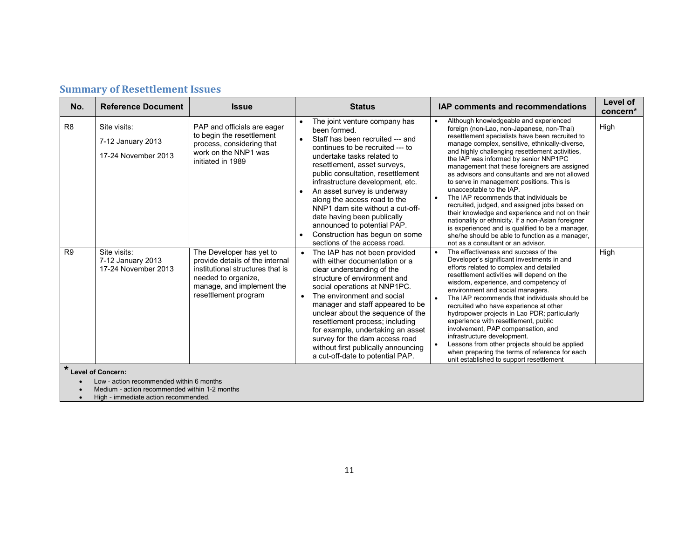|  |  | <b>Summary of Resettlement Issues</b> |
|--|--|---------------------------------------|
|--|--|---------------------------------------|

| No.            | <b>Reference Document</b>                                       | <b>Issue</b>                                                                                                                                                                | <b>Status</b>                                                                                                                                                                                                                                                                                                                                                                                                                                                                                   | <b>IAP comments and recommendations</b>                                                                                                                                                                                                                                                                                                                                                                                                                                                                                                                                                                                                                                                                                                                                                                                         | Level of<br>concern* |
|----------------|-----------------------------------------------------------------|-----------------------------------------------------------------------------------------------------------------------------------------------------------------------------|-------------------------------------------------------------------------------------------------------------------------------------------------------------------------------------------------------------------------------------------------------------------------------------------------------------------------------------------------------------------------------------------------------------------------------------------------------------------------------------------------|---------------------------------------------------------------------------------------------------------------------------------------------------------------------------------------------------------------------------------------------------------------------------------------------------------------------------------------------------------------------------------------------------------------------------------------------------------------------------------------------------------------------------------------------------------------------------------------------------------------------------------------------------------------------------------------------------------------------------------------------------------------------------------------------------------------------------------|----------------------|
| R <sub>8</sub> | Site visits:<br>7-12 January 2013<br>17-24 November 2013        | PAP and officials are eager<br>to begin the resettlement<br>process, considering that<br>work on the NNP1 was<br>initiated in 1989                                          | The joint venture company has<br>been formed.<br>Staff has been recruited --- and<br>continues to be recruited --- to<br>undertake tasks related to<br>resettlement, asset surveys,<br>public consultation, resettlement<br>infrastructure development, etc.<br>An asset survey is underway<br>along the access road to the<br>NNP1 dam site without a cut-off-<br>date having been publically<br>announced to potential PAP.<br>Construction has begun on some<br>sections of the access road. | Although knowledgeable and experienced<br>$\bullet$<br>foreign (non-Lao, non-Japanese, non-Thai)<br>resettlement specialists have been recruited to<br>manage complex, sensitive, ethnically-diverse,<br>and highly challenging resettlement activities,<br>the IAP was informed by senior NNP1PC<br>management that these foreigners are assigned<br>as advisors and consultants and are not allowed<br>to serve in management positions. This is<br>unacceptable to the IAP.<br>The IAP recommends that individuals be<br>recruited, judged, and assigned jobs based on<br>their knowledge and experience and not on their<br>nationality or ethnicity. If a non-Asian foreigner<br>is experienced and is qualified to be a manager,<br>she/he should be able to function as a manager,<br>not as a consultant or an advisor. | High                 |
| R <sub>9</sub> | Site visits:<br>7-12 January 2013<br>17-24 November 2013        | The Developer has yet to<br>provide details of the internal<br>institutional structures that is<br>needed to organize,<br>manage, and implement the<br>resettlement program | The IAP has not been provided<br>with either documentation or a<br>clear understanding of the<br>structure of environment and<br>social operations at NNP1PC.<br>The environment and social<br>manager and staff appeared to be<br>unclear about the sequence of the<br>resettlement process; including<br>for example, undertaking an asset<br>survey for the dam access road<br>without first publically announcing<br>a cut-off-date to potential PAP.                                       | The effectiveness and success of the<br>Developer's significant investments in and<br>efforts related to complex and detailed<br>resettlement activities will depend on the<br>wisdom, experience, and competency of<br>environment and social managers.<br>The IAP recommends that individuals should be<br>$\bullet$<br>recruited who have experience at other<br>hydropower projects in Lao PDR; particularly<br>experience with resettlement, public<br>involvement, PAP compensation, and<br>infrastructure development.<br>Lessons from other projects should be applied<br>$\bullet$<br>when preparing the terms of reference for each<br>unit established to support resettlement                                                                                                                                       | High                 |
|                | * Level of Concern:<br>Low - action recommended within 6 months |                                                                                                                                                                             |                                                                                                                                                                                                                                                                                                                                                                                                                                                                                                 |                                                                                                                                                                                                                                                                                                                                                                                                                                                                                                                                                                                                                                                                                                                                                                                                                                 |                      |

• Medium - action recommended within 1-2 months

• High - immediate action recommended.

Ï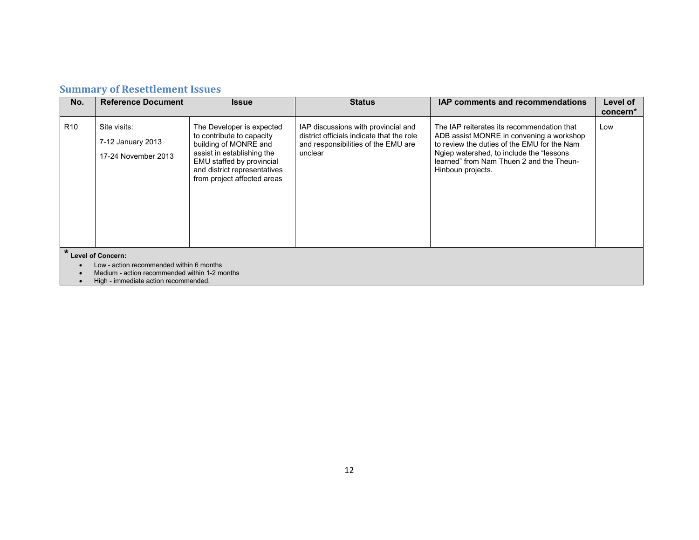## **Summary of Resettlement Issues**

| No.             | <b>Reference Document</b>                                                                                                                                     | <b>Issue</b>                                                                                                                                                                                              | <b>Status</b>                                                                                                                      | <b>IAP comments and recommendations</b>                                                                                                                                                                                                             | Level of |
|-----------------|---------------------------------------------------------------------------------------------------------------------------------------------------------------|-----------------------------------------------------------------------------------------------------------------------------------------------------------------------------------------------------------|------------------------------------------------------------------------------------------------------------------------------------|-----------------------------------------------------------------------------------------------------------------------------------------------------------------------------------------------------------------------------------------------------|----------|
|                 |                                                                                                                                                               |                                                                                                                                                                                                           |                                                                                                                                    |                                                                                                                                                                                                                                                     | concern* |
| R <sub>10</sub> | Site visits:<br>7-12 January 2013<br>17-24 November 2013                                                                                                      | The Developer is expected<br>to contribute to capacity<br>building of MONRE and<br>assist in establishing the<br>EMU staffed by provincial<br>and district representatives<br>from project affected areas | IAP discussions with provincial and<br>district officials indicate that the role<br>and responsibilities of the EMU are<br>unclear | The IAP reiterates its recommendation that<br>ADB assist MONRE in convening a workshop<br>to review the duties of the EMU for the Nam<br>Ngiep watershed, to include the "lessons"<br>learned" from Nam Thuen 2 and the Theun-<br>Hinboun projects. | Low      |
|                 | <b>Level of Concern:</b><br>Low - action recommended within 6 months<br>Medium - action recommended within 1-2 months<br>High - immediate action recommended. |                                                                                                                                                                                                           |                                                                                                                                    |                                                                                                                                                                                                                                                     |          |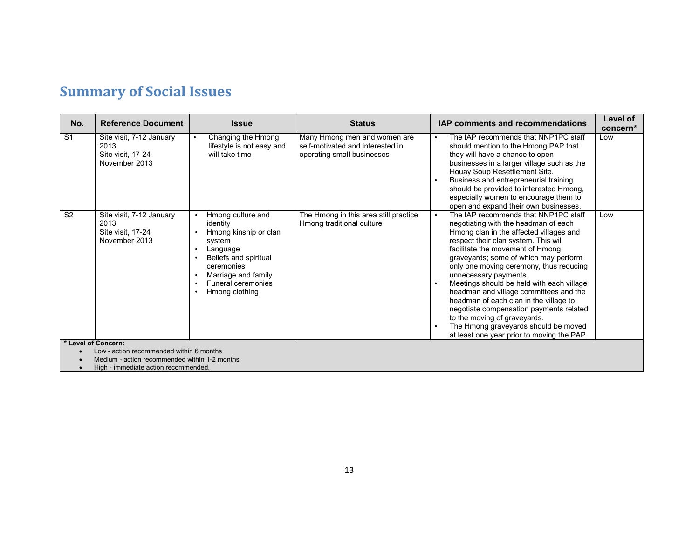| No.            | <b>Reference Document</b>                                              | <b>Issue</b>                                                                                                                                                                                                                                        | <b>Status</b>                                                                                  | IAP comments and recommendations                                                                                                                                                                                                                                                                                                                                                                                                                                                                                                                                                                                                                          | Level of<br>concern* |
|----------------|------------------------------------------------------------------------|-----------------------------------------------------------------------------------------------------------------------------------------------------------------------------------------------------------------------------------------------------|------------------------------------------------------------------------------------------------|-----------------------------------------------------------------------------------------------------------------------------------------------------------------------------------------------------------------------------------------------------------------------------------------------------------------------------------------------------------------------------------------------------------------------------------------------------------------------------------------------------------------------------------------------------------------------------------------------------------------------------------------------------------|----------------------|
| S <sub>1</sub> | Site visit, 7-12 January<br>2013<br>Site visit, 17-24<br>November 2013 | Changing the Hmong<br>$\bullet$<br>lifestyle is not easy and<br>will take time                                                                                                                                                                      | Many Hmong men and women are<br>self-motivated and interested in<br>operating small businesses | The IAP recommends that NNP1PC staff<br>$\bullet$<br>should mention to the Hmong PAP that<br>they will have a chance to open<br>businesses in a larger village such as the<br>Houay Soup Resettlement Site.<br>Business and entrepreneurial training<br>should be provided to interested Hmong,<br>especially women to encourage them to<br>open and expand their own businesses.                                                                                                                                                                                                                                                                         | Low                  |
| S <sub>2</sub> | Site visit, 7-12 January<br>2013<br>Site visit, 17-24<br>November 2013 | Hmong culture and<br>$\bullet$<br>identity<br>Hmong kinship or clan<br>system<br>Language<br>$\bullet$<br>Beliefs and spiritual<br>ceremonies<br>Marriage and family<br>$\bullet$<br>Funeral ceremonies<br>$\bullet$<br>Hmong clothing<br>$\bullet$ | The Hmong in this area still practice<br>Hmong traditional culture                             | The IAP recommends that NNP1PC staff<br>$\bullet$<br>negotiating with the headman of each<br>Hmong clan in the affected villages and<br>respect their clan system. This will<br>facilitate the movement of Hmong<br>graveyards; some of which may perform<br>only one moving ceremony, thus reducing<br>unnecessary payments.<br>Meetings should be held with each village<br>$\bullet$<br>headman and village committees and the<br>headman of each clan in the village to<br>negotiate compensation payments related<br>to the moving of graveyards.<br>The Hmong graveyards should be moved<br>$\bullet$<br>at least one year prior to moving the PAP. | Low                  |
|                | * Level of Concern:<br>Low - action recommended within 6 months        |                                                                                                                                                                                                                                                     |                                                                                                |                                                                                                                                                                                                                                                                                                                                                                                                                                                                                                                                                                                                                                                           |                      |
|                | Medium - action recommended within 1-2 months                          |                                                                                                                                                                                                                                                     |                                                                                                |                                                                                                                                                                                                                                                                                                                                                                                                                                                                                                                                                                                                                                                           |                      |

• High - immediate action recommended.

Ï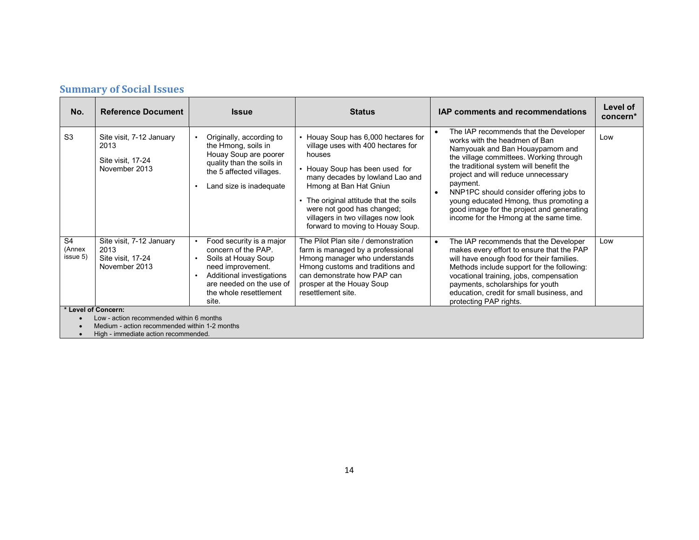| <b>Summary of Social Issues</b> |  |  |
|---------------------------------|--|--|
|---------------------------------|--|--|

| No.                                  | <b>Reference Document</b>                                                                                                                                | <b>Issue</b>                                                                                                                                                                           | <b>Status</b>                                                                                                                                                                                                                                                                                                                        | <b>IAP comments and recommendations</b>                                                                                                                                                                                                                                                                                                                                                                                                     | Level of<br>concern* |  |
|--------------------------------------|----------------------------------------------------------------------------------------------------------------------------------------------------------|----------------------------------------------------------------------------------------------------------------------------------------------------------------------------------------|--------------------------------------------------------------------------------------------------------------------------------------------------------------------------------------------------------------------------------------------------------------------------------------------------------------------------------------|---------------------------------------------------------------------------------------------------------------------------------------------------------------------------------------------------------------------------------------------------------------------------------------------------------------------------------------------------------------------------------------------------------------------------------------------|----------------------|--|
| S <sub>3</sub>                       | Site visit, 7-12 January<br>2013<br>Site visit, 17-24<br>November 2013                                                                                   | Originally, according to<br>the Hmong, soils in<br>Houay Soup are poorer<br>quality than the soils in<br>the 5 affected villages.<br>Land size is inadequate<br>$\bullet$              | • Houay Soup has 6,000 hectares for<br>village uses with 400 hectares for<br>houses<br>• Houay Soup has been used for<br>many decades by lowland Lao and<br>Hmong at Ban Hat Gniun<br>• The original attitude that the soils<br>were not good has changed;<br>villagers in two villages now look<br>forward to moving to Houay Soup. | The IAP recommends that the Developer<br>works with the headmen of Ban<br>Namyouak and Ban Houaypamom and<br>the village committees. Working through<br>the traditional system will benefit the<br>project and will reduce unnecessary<br>payment.<br>NNP1PC should consider offering jobs to<br>$\bullet$<br>young educated Hmong, thus promoting a<br>good image for the project and generating<br>income for the Hmong at the same time. | Low                  |  |
| S <sub>4</sub><br>(Annex<br>issue 5) | Site visit, 7-12 January<br>2013<br>Site visit, 17-24<br>November 2013                                                                                   | Food security is a major<br>concern of the PAP<br>Soils at Houay Soup<br>need improvement.<br>Additional investigations<br>are needed on the use of<br>the whole resettlement<br>site. | The Pilot Plan site / demonstration<br>farm is managed by a professional<br>Hmong manager who understands<br>Hmong customs and traditions and<br>can demonstrate how PAP can<br>prosper at the Houay Soup<br>resettlement site.                                                                                                      | The IAP recommends that the Developer<br>$\bullet$<br>makes every effort to ensure that the PAP<br>will have enough food for their families.<br>Methods include support for the following:<br>vocational training, jobs, compensation<br>payments, scholarships for youth<br>education, credit for small business, and<br>protecting PAP rights.                                                                                            | Low                  |  |
|                                      | * Level of Concern:<br>Low - action recommended within 6 months<br>Medium - action recommended within 1-2 months<br>High - immediate action recommended. |                                                                                                                                                                                        |                                                                                                                                                                                                                                                                                                                                      |                                                                                                                                                                                                                                                                                                                                                                                                                                             |                      |  |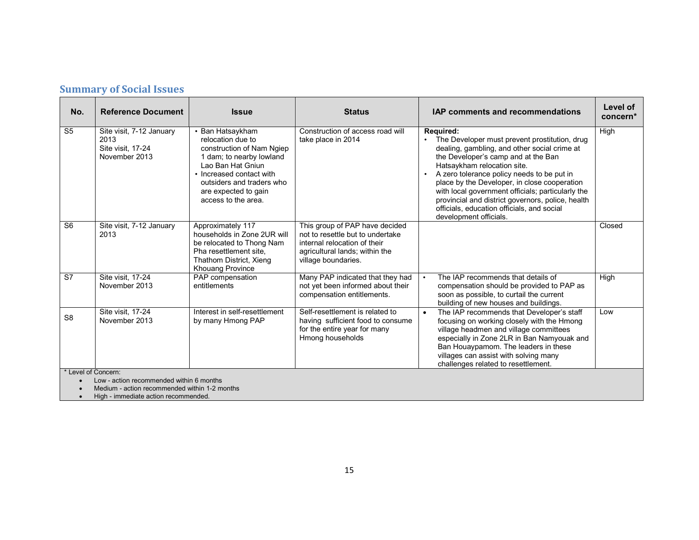| No.                 | <b>Reference Document</b>                                                               | <b>Issue</b>                                                                                                                                                                                                                | <b>Status</b>                                                                                                                                               | <b>IAP comments and recommendations</b>                                                                                                                                                                                                                                                                                                                                                                                                                          | Level of<br>concern* |
|---------------------|-----------------------------------------------------------------------------------------|-----------------------------------------------------------------------------------------------------------------------------------------------------------------------------------------------------------------------------|-------------------------------------------------------------------------------------------------------------------------------------------------------------|------------------------------------------------------------------------------------------------------------------------------------------------------------------------------------------------------------------------------------------------------------------------------------------------------------------------------------------------------------------------------------------------------------------------------------------------------------------|----------------------|
| S <sub>5</sub>      | Site visit, 7-12 January<br>2013<br>Site visit, 17-24<br>November 2013                  | • Ban Hatsaykham<br>relocation due to<br>construction of Nam Ngiep<br>1 dam; to nearby lowland<br>Lao Ban Hat Gniun<br>• Increased contact with<br>outsiders and traders who<br>are expected to gain<br>access to the area. | Construction of access road will<br>take place in 2014                                                                                                      | Required:<br>The Developer must prevent prostitution, drug<br>dealing, gambling, and other social crime at<br>the Developer's camp and at the Ban<br>Hatsaykham relocation site.<br>A zero tolerance policy needs to be put in<br>place by the Developer, in close cooperation<br>with local government officials; particularly the<br>provincial and district governors, police, health<br>officials, education officials, and social<br>development officials. | High                 |
| S <sub>6</sub>      | Site visit, 7-12 January<br>2013                                                        | Approximately 117<br>households in Zone 2UR will<br>be relocated to Thong Nam<br>Pha resettlement site.<br>Thathom District, Xieng<br><b>Khouang Province</b>                                                               | This group of PAP have decided<br>not to resettle but to undertake<br>internal relocation of their<br>agricultural lands; within the<br>village boundaries. |                                                                                                                                                                                                                                                                                                                                                                                                                                                                  | Closed               |
| S7                  | Site visit, 17-24<br>November 2013                                                      | PAP compensation<br>entitlements                                                                                                                                                                                            | Many PAP indicated that they had<br>not yet been informed about their<br>compensation entitlements.                                                         | The IAP recommends that details of<br>compensation should be provided to PAP as<br>soon as possible, to curtail the current<br>building of new houses and buildings.                                                                                                                                                                                                                                                                                             | High                 |
| S <sub>8</sub>      | Site visit, 17-24<br>November 2013                                                      | Interest in self-resettlement<br>by many Hmong PAP                                                                                                                                                                          | Self-resettlement is related to<br>having sufficient food to consume<br>for the entire year for many<br>Hmong households                                    | The IAP recommends that Developer's staff<br>focusing on working closely with the Hmong<br>village headmen and village committees<br>especially in Zone 2LR in Ban Namyouak and<br>Ban Houaypamom. The leaders in these<br>villages can assist with solving many<br>challenges related to resettlement.                                                                                                                                                          | Low                  |
| * Level of Concern: | Low - action recommended within 6 months<br>Modium potion recommended within 1.2 months |                                                                                                                                                                                                                             |                                                                                                                                                             |                                                                                                                                                                                                                                                                                                                                                                                                                                                                  |                      |

• Medium - action recommended within 1-2 months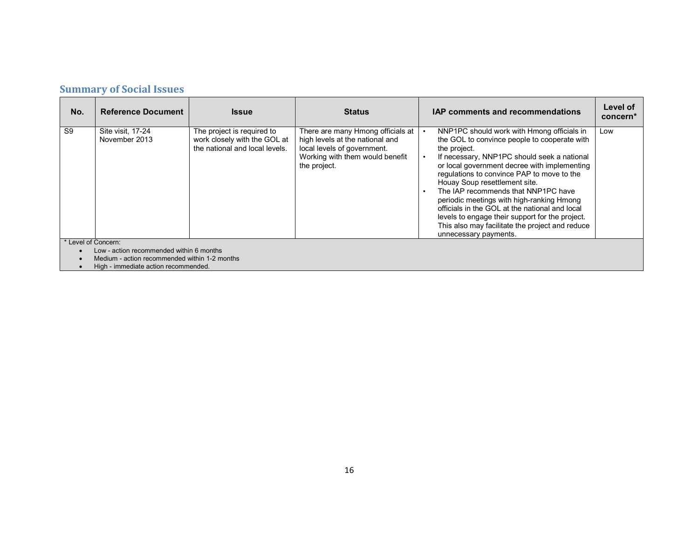#### **Summary of Social Issues**

| No.                 | <b>Reference Document</b>                     | <b>Issue</b>                                                                                 | <b>Status</b>                                                                                                                                          | <b>IAP comments and recommendations</b>                                                                                                                                                                                                                                                                                                                                                                                                                                                                                                                       | Level of<br>concern <sup>*</sup> |  |  |
|---------------------|-----------------------------------------------|----------------------------------------------------------------------------------------------|--------------------------------------------------------------------------------------------------------------------------------------------------------|---------------------------------------------------------------------------------------------------------------------------------------------------------------------------------------------------------------------------------------------------------------------------------------------------------------------------------------------------------------------------------------------------------------------------------------------------------------------------------------------------------------------------------------------------------------|----------------------------------|--|--|
| S9                  | Site visit, 17-24<br>November 2013            | The project is required to<br>work closely with the GOL at<br>the national and local levels. | There are many Hmong officials at<br>high levels at the national and<br>local levels of government.<br>Working with them would benefit<br>the project. | NNP1PC should work with Hmong officials in<br>the GOL to convince people to cooperate with<br>the project.<br>If necessary, NNP1PC should seek a national<br>or local government decree with implementing<br>regulations to convince PAP to move to the<br>Houay Soup resettlement site.<br>The IAP recommends that NNP1PC have<br>periodic meetings with high-ranking Hmong<br>officials in the GOL at the national and local<br>levels to engage their support for the project.<br>This also may facilitate the project and reduce<br>unnecessary payments. | Low                              |  |  |
| * Level of Concern: |                                               |                                                                                              |                                                                                                                                                        |                                                                                                                                                                                                                                                                                                                                                                                                                                                                                                                                                               |                                  |  |  |
|                     | Low - action recommended within 6 months      |                                                                                              |                                                                                                                                                        |                                                                                                                                                                                                                                                                                                                                                                                                                                                                                                                                                               |                                  |  |  |
|                     | Medium - action recommended within 1-2 months |                                                                                              |                                                                                                                                                        |                                                                                                                                                                                                                                                                                                                                                                                                                                                                                                                                                               |                                  |  |  |
|                     | High - immediate action recommended.          |                                                                                              |                                                                                                                                                        |                                                                                                                                                                                                                                                                                                                                                                                                                                                                                                                                                               |                                  |  |  |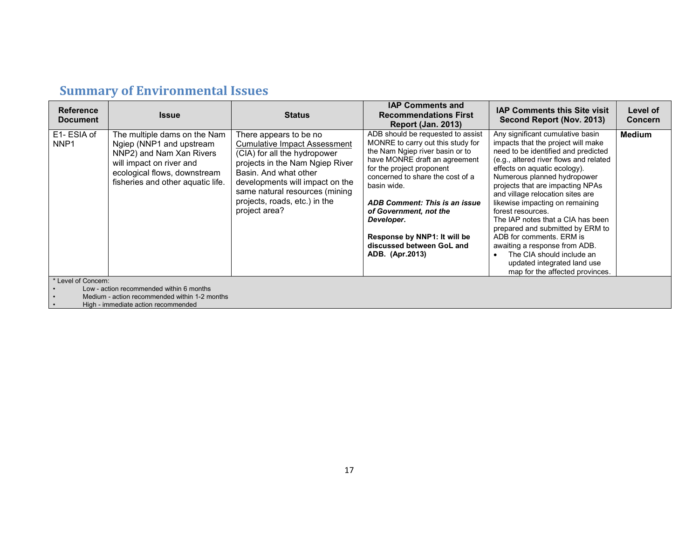| <b>Reference</b><br><b>Document</b> | <b>Issue</b>                                                                                                                                                                          | <b>Status</b>                                                                                                                                                                                                                                                                    | <b>IAP Comments and</b><br><b>Recommendations First</b><br><b>Report (Jan. 2013)</b>                                                                                                                                                                                                                                                                                                | <b>IAP Comments this Site visit</b><br>Second Report (Nov. 2013)                                                                                                                                                                                                                                                                                                                                                                                                                                                                                                                            | Level of<br><b>Concern</b> |
|-------------------------------------|---------------------------------------------------------------------------------------------------------------------------------------------------------------------------------------|----------------------------------------------------------------------------------------------------------------------------------------------------------------------------------------------------------------------------------------------------------------------------------|-------------------------------------------------------------------------------------------------------------------------------------------------------------------------------------------------------------------------------------------------------------------------------------------------------------------------------------------------------------------------------------|---------------------------------------------------------------------------------------------------------------------------------------------------------------------------------------------------------------------------------------------------------------------------------------------------------------------------------------------------------------------------------------------------------------------------------------------------------------------------------------------------------------------------------------------------------------------------------------------|----------------------------|
| E1-ESIA of<br>NNP <sub>1</sub>      | The multiple dams on the Nam<br>Ngiep (NNP1 and upstream<br>NNP2) and Nam Xan Rivers<br>will impact on river and<br>ecological flows, downstream<br>fisheries and other aquatic life. | There appears to be no<br><b>Cumulative Impact Assessment</b><br>(CIA) for all the hydropower<br>projects in the Nam Ngiep River<br>Basin, And what other<br>developments will impact on the<br>same natural resources (mining<br>projects, roads, etc.) in the<br>project area? | ADB should be requested to assist<br>MONRE to carry out this study for<br>the Nam Ngiep river basin or to<br>have MONRE draft an agreement<br>for the project proponent<br>concerned to share the cost of a<br>basin wide.<br>ADB Comment: This is an issue<br>of Government, not the<br>Developer.<br>Response by NNP1: It will be<br>discussed between GoL and<br>ADB. (Apr.2013) | Any significant cumulative basin<br>impacts that the project will make<br>need to be identified and predicted<br>(e.g., altered river flows and related<br>effects on aquatic ecology).<br>Numerous planned hydropower<br>projects that are impacting NPAs<br>and village relocation sites are<br>likewise impacting on remaining<br>forest resources.<br>The IAP notes that a CIA has been<br>prepared and submitted by ERM to<br>ADB for comments. ERM is<br>awaiting a response from ADB.<br>The CIA should include an<br>updated integrated land use<br>map for the affected provinces. | <b>Medium</b>              |
| * Level of Concern:                 | Low - action recommended within 6 months                                                                                                                                              |                                                                                                                                                                                                                                                                                  |                                                                                                                                                                                                                                                                                                                                                                                     |                                                                                                                                                                                                                                                                                                                                                                                                                                                                                                                                                                                             |                            |

• Medium - action recommended within 1-2 months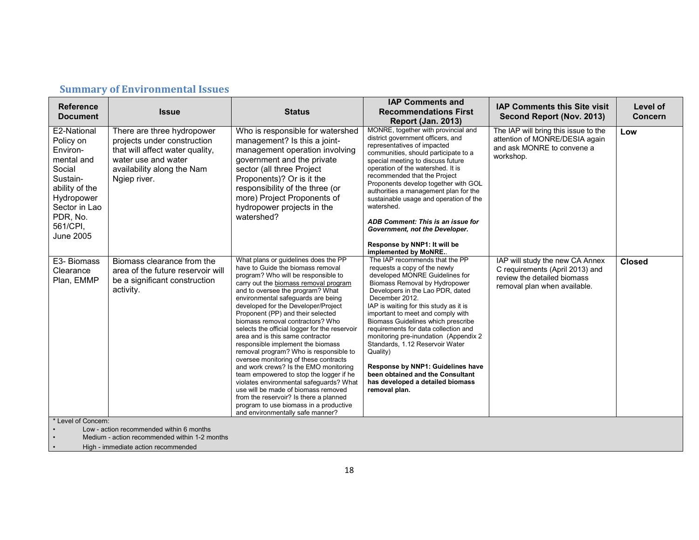| <b>Reference</b><br><b>Document</b>                                                                                                                            | <b>Issue</b>                                                                                                                                                      | <b>Status</b>                                                                                                                                                                                                                                                                                                                                                                                                                                                                                                                                                                                                                                                                                                                                                                                                                                                  | <b>IAP Comments and</b><br><b>Recommendations First</b><br><b>Report (Jan. 2013)</b>                                                                                                                                                                                                                                                                                                                                                                                                                                                                                       | <b>IAP Comments this Site visit</b><br>Second Report (Nov. 2013)                                                                  | Level of<br><b>Concern</b> |
|----------------------------------------------------------------------------------------------------------------------------------------------------------------|-------------------------------------------------------------------------------------------------------------------------------------------------------------------|----------------------------------------------------------------------------------------------------------------------------------------------------------------------------------------------------------------------------------------------------------------------------------------------------------------------------------------------------------------------------------------------------------------------------------------------------------------------------------------------------------------------------------------------------------------------------------------------------------------------------------------------------------------------------------------------------------------------------------------------------------------------------------------------------------------------------------------------------------------|----------------------------------------------------------------------------------------------------------------------------------------------------------------------------------------------------------------------------------------------------------------------------------------------------------------------------------------------------------------------------------------------------------------------------------------------------------------------------------------------------------------------------------------------------------------------------|-----------------------------------------------------------------------------------------------------------------------------------|----------------------------|
| E2-National<br>Policy on<br>Environ-<br>mental and<br>Social<br>Sustain-<br>ability of the<br>Hydropower<br>Sector in Lao<br>PDR, No.<br>561/CPI,<br>June 2005 | There are three hydropower<br>projects under construction<br>that will affect water quality,<br>water use and water<br>availability along the Nam<br>Ngiep river. | Who is responsible for watershed<br>management? Is this a joint-<br>management operation involving<br>government and the private<br>sector (all three Project<br>Proponents)? Or is it the<br>responsibility of the three (or<br>more) Project Proponents of<br>hydropower projects in the<br>watershed?                                                                                                                                                                                                                                                                                                                                                                                                                                                                                                                                                       | MONRE, together with provincial and<br>district government officers, and<br>representatives of impacted<br>communities, should participate to a<br>special meeting to discuss future<br>operation of the watershed. It is<br>recommended that the Project<br>Proponents develop together with GOL<br>authorities a management plan for the<br>sustainable usage and operation of the<br>watershed.<br>ADB Comment: This is an issue for<br>Government, not the Developer.<br>Response by NNP1: It will be<br>implemented by MoNRE                                          | The IAP will bring this issue to the<br>attention of MONRE/DESIA again<br>and ask MONRE to convene a<br>workshop.                 | Low                        |
| E3- Biomass<br>Clearance<br>Plan, EMMP                                                                                                                         | Biomass clearance from the<br>area of the future reservoir will<br>be a significant construction<br>activity.                                                     | What plans or guidelines does the PP<br>have to Guide the biomass removal<br>program? Who will be responsible to<br>carry out the biomass removal program<br>and to oversee the program? What<br>environmental safeguards are being<br>developed for the Developer/Project<br>Proponent (PP) and their selected<br>biomass removal contractors? Who<br>selects the official logger for the reservoir<br>area and is this same contractor<br>responsible implement the biomass<br>removal program? Who is responsible to<br>oversee monitoring of these contracts<br>and work crews? Is the EMO monitoring<br>team empowered to stop the logger if he<br>violates environmental safeguards? What<br>use will be made of biomass removed<br>from the reservoir? Is there a planned<br>program to use biomass in a productive<br>and environmentally safe manner? | The IAP recommends that the PP<br>requests a copy of the newly<br>developed MONRE Guidelines for<br>Biomass Removal by Hydropower<br>Developers in the Lao PDR, dated<br>December 2012.<br>IAP is waiting for this study as it is<br>important to meet and comply with<br>Biomass Guidelines which prescribe<br>requirements for data collection and<br>monitoring pre-inundation (Appendix 2<br>Standards, 1.12 Reservoir Water<br>Quality)<br>Response by NNP1: Guidelines have<br>been obtained and the Consultant<br>has developed a detailed biomass<br>removal plan. | IAP will study the new CA Annex<br>C requirements (April 2013) and<br>review the detailed biomass<br>removal plan when available. | <b>Closed</b>              |
| * Level of Concern:                                                                                                                                            | Low - action recommended within 6 months<br>Medium - action recommended within 1-2 months                                                                         |                                                                                                                                                                                                                                                                                                                                                                                                                                                                                                                                                                                                                                                                                                                                                                                                                                                                |                                                                                                                                                                                                                                                                                                                                                                                                                                                                                                                                                                            |                                                                                                                                   |                            |

## **Summary of Environmental Issues**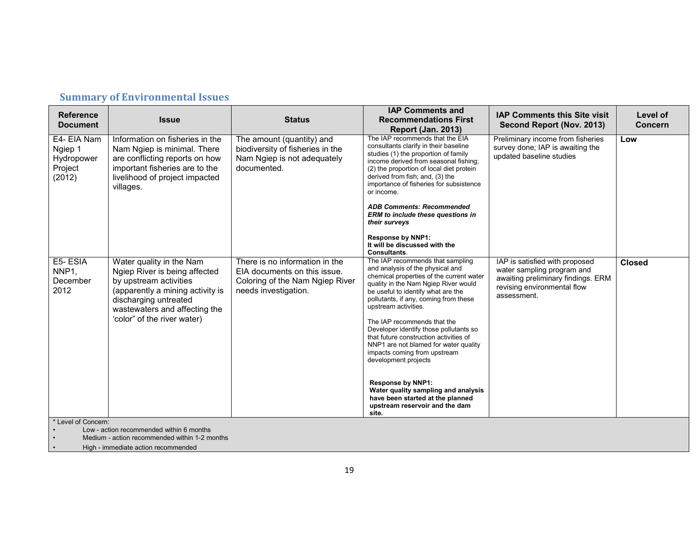| <b>Reference</b><br><b>Document</b>                       | <b>Issue</b>                                                                                                                                                                                                     | <b>Status</b>                                                                                                             | <b>IAP Comments and</b><br><b>Recommendations First</b><br><b>Report (Jan. 2013)</b>                                                                                                                                                                                                                                                                                                                                                                                                                                                                                                                                                  | <b>IAP Comments this Site visit</b><br>Second Report (Nov. 2013)                                                                                 | Level of<br>Concern |
|-----------------------------------------------------------|------------------------------------------------------------------------------------------------------------------------------------------------------------------------------------------------------------------|---------------------------------------------------------------------------------------------------------------------------|---------------------------------------------------------------------------------------------------------------------------------------------------------------------------------------------------------------------------------------------------------------------------------------------------------------------------------------------------------------------------------------------------------------------------------------------------------------------------------------------------------------------------------------------------------------------------------------------------------------------------------------|--------------------------------------------------------------------------------------------------------------------------------------------------|---------------------|
| E4- EIA Nam<br>Ngiep 1<br>Hydropower<br>Project<br>(2012) | Information on fisheries in the<br>Nam Ngiep is minimal. There<br>are conflicting reports on how<br>important fisheries are to the<br>livelihood of project impacted<br>villages.                                | The amount (quantity) and<br>biodiversity of fisheries in the<br>Nam Ngiep is not adequately<br>documented.               | The IAP recommends that the EIA<br>consultants clarify in their baseline<br>studies (1) the proportion of family<br>income derived from seasonal fishing;<br>(2) the proportion of local diet protein<br>derived from fish; and, (3) the<br>importance of fisheries for subsistence<br>or income.<br><b>ADB Comments: Recommended</b><br>ERM to include these questions in<br>their surveys                                                                                                                                                                                                                                           | Preliminary income from fisheries<br>survey done; IAP is awaiting the<br>updated baseline studies                                                | Low                 |
|                                                           |                                                                                                                                                                                                                  |                                                                                                                           | <b>Response by NNP1:</b><br>It will be discussed with the<br><b>Consultants.</b>                                                                                                                                                                                                                                                                                                                                                                                                                                                                                                                                                      |                                                                                                                                                  |                     |
| E5-ESIA<br>NNP <sub>1</sub><br>December<br>2012           | Water quality in the Nam<br>Ngiep River is being affected<br>by upstream activities<br>(apparently a mining activity is<br>discharging untreated<br>wastewaters and affecting the<br>'color" of the river water) | There is no information in the<br>EIA documents on this issue.<br>Coloring of the Nam Ngiep River<br>needs investigation. | The IAP recommends that sampling<br>and analysis of the physical and<br>chemical properties of the current water<br>quality in the Nam Ngiep River would<br>be useful to identify what are the<br>pollutants, if any, coming from these<br>upstream activities.<br>The IAP recommends that the<br>Developer identify those pollutants so<br>that future construction activities of<br>NNP1 are not blamed for water quality<br>impacts coming from upstream<br>development projects<br><b>Response by NNP1:</b><br>Water quality sampling and analysis<br>have been started at the planned<br>upstream reservoir and the dam<br>site. | IAP is satisfied with proposed<br>water sampling program and<br>awaiting preliminary findings. ERM<br>revising environmental flow<br>assessment. | <b>Closed</b>       |
| * Level of Concern:                                       | Low - action recommended within 6 months<br>Medium - action recommended within 1-2 months                                                                                                                        |                                                                                                                           |                                                                                                                                                                                                                                                                                                                                                                                                                                                                                                                                                                                                                                       |                                                                                                                                                  |                     |

## **Summary of Environmental Issues**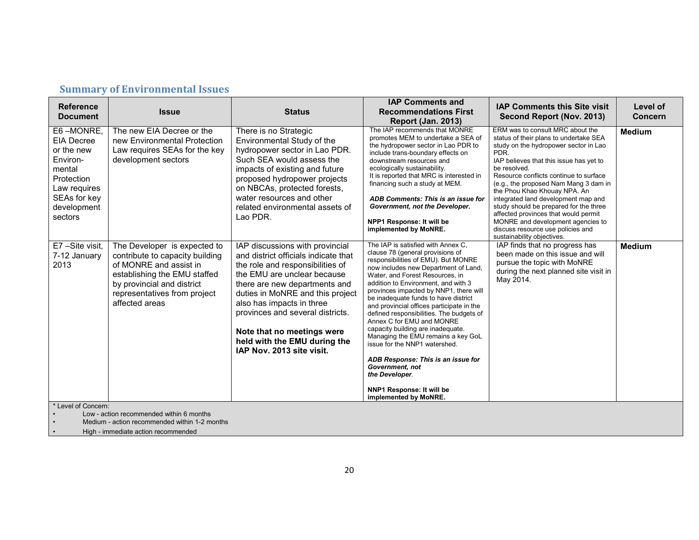| <b>Reference</b><br><b>Document</b>                                                                                                        | <b>Issue</b>                                                                                                                                                                                              | <b>Status</b>                                                                                                                                                                                                                                                                                                                                                               | <b>IAP Comments and</b><br><b>Recommendations First</b><br><b>Report (Jan. 2013)</b>                                                                                                                                                                                                                                                                                                                                                                                                                                                                                                                                                                                                 | <b>IAP Comments this Site visit</b><br>Second Report (Nov. 2013)                                                                                                                                                                                                                                                                                                                                                                                                                                                                           | Level of<br><b>Concern</b> |
|--------------------------------------------------------------------------------------------------------------------------------------------|-----------------------------------------------------------------------------------------------------------------------------------------------------------------------------------------------------------|-----------------------------------------------------------------------------------------------------------------------------------------------------------------------------------------------------------------------------------------------------------------------------------------------------------------------------------------------------------------------------|--------------------------------------------------------------------------------------------------------------------------------------------------------------------------------------------------------------------------------------------------------------------------------------------------------------------------------------------------------------------------------------------------------------------------------------------------------------------------------------------------------------------------------------------------------------------------------------------------------------------------------------------------------------------------------------|--------------------------------------------------------------------------------------------------------------------------------------------------------------------------------------------------------------------------------------------------------------------------------------------------------------------------------------------------------------------------------------------------------------------------------------------------------------------------------------------------------------------------------------------|----------------------------|
| E6-MONRE,<br><b>EIA Decree</b><br>or the new<br>Environ-<br>mental<br>Protection<br>Law requires<br>SEAs for key<br>development<br>sectors | The new EIA Decree or the<br>new Environmental Protection<br>Law requires SEAs for the key<br>development sectors                                                                                         | There is no Strategic<br>Environmental Study of the<br>hydropower sector in Lao PDR.<br>Such SEA would assess the<br>impacts of existing and future<br>proposed hydropower projects<br>on NBCAs, protected forests,<br>water resources and other<br>related environmental assets of<br>Lao PDR.                                                                             | The IAP recommends that MONRE<br>promotes MEM to undertake a SEA of<br>the hydropower sector in Lao PDR to<br>include trans-boundary effects on<br>downstream resources and<br>ecologically sustainability.<br>It is reported that MRC is interested in<br>financing such a study at MEM.<br>ADB Comments: This is an issue for<br>Government, not the Developer.<br>NPP1 Response: It will be<br>implemented by MoNRE.                                                                                                                                                                                                                                                              | ERM was to consult MRC about the<br>status of their plans to undertake SEA<br>study on the hydropower sector in Lao<br>PDR.<br>IAP believes that this issue has yet to<br>be resolved.<br>Resource conflicts continue to surface<br>(e.g., the proposed Nam Mang 3 dam in<br>the Phou Khao Khouay NPA. An<br>integrated land development map and<br>study should be prepared for the three<br>affected provinces that would permit<br>MONRE and development agencies to<br>discuss resource use policies and<br>sustainability objectives. | <b>Medium</b>              |
| E7-Site visit.<br>7-12 January<br>2013                                                                                                     | The Developer is expected to<br>contribute to capacity building<br>of MONRE and assist in<br>establishing the EMU staffed<br>by provincial and district<br>representatives from project<br>affected areas | IAP discussions with provincial<br>and district officials indicate that<br>the role and responsibilities of<br>the EMU are unclear because<br>there are new departments and<br>duties in MoNRE and this project<br>also has impacts in three<br>provinces and several districts.<br>Note that no meetings were<br>held with the EMU during the<br>IAP Nov. 2013 site visit. | The IAP is satisfied with Annex C,<br>clause 78 (general provisions of<br>responsibilities of EMU). But MONRE<br>now includes new Department of Land,<br>Water, and Forest Resources, in<br>addition to Environment, and with 3<br>provinces impacted by NNP1, there will<br>be inadequate funds to have district<br>and provincial offices participate in the<br>defined responsibilities. The budgets of<br>Annex C for EMU and MONRE<br>capacity building are inadequate.<br>Managing the EMU remains a key GoL<br>issue for the NNP1 watershed.<br>ADB Response: This is an issue for<br>Government, not<br>the Developer.<br>NNP1 Response: It will be<br>implemented by MoNRE. | IAP finds that no progress has<br>been made on this issue and will<br>pursue the topic with MoNRE<br>during the next planned site visit in<br>May 2014.                                                                                                                                                                                                                                                                                                                                                                                    | <b>Medium</b>              |
| * Level of Concern:                                                                                                                        | Low - action recommended within 6 months<br>Medium - action recommended within 1-2 months                                                                                                                 |                                                                                                                                                                                                                                                                                                                                                                             |                                                                                                                                                                                                                                                                                                                                                                                                                                                                                                                                                                                                                                                                                      |                                                                                                                                                                                                                                                                                                                                                                                                                                                                                                                                            |                            |

## **Summary of Environmental Issues**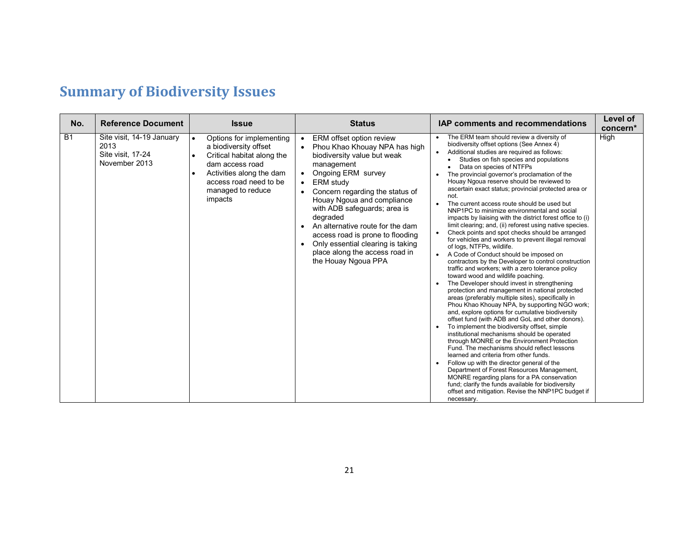# **Summary of Biodiversity Issues**

| No.       | <b>Reference Document</b>                                               | <b>Issue</b>                                                                                                                                                                                          | <b>Status</b>                                                                                                                                                                                                                                                                                                                                                                                                                             | <b>IAP comments and recommendations</b>                                                                                                                                                                                                                                                                                                                                                                                                                                                                                                                                                                                                                                                                                                                                                                                                                                                                                                                                                                                                                                                                                                                                                                                                                                                                                                                                                                                                                                                                                                                                                                                                                                                                                                                                                        | Level of<br>concern* |
|-----------|-------------------------------------------------------------------------|-------------------------------------------------------------------------------------------------------------------------------------------------------------------------------------------------------|-------------------------------------------------------------------------------------------------------------------------------------------------------------------------------------------------------------------------------------------------------------------------------------------------------------------------------------------------------------------------------------------------------------------------------------------|------------------------------------------------------------------------------------------------------------------------------------------------------------------------------------------------------------------------------------------------------------------------------------------------------------------------------------------------------------------------------------------------------------------------------------------------------------------------------------------------------------------------------------------------------------------------------------------------------------------------------------------------------------------------------------------------------------------------------------------------------------------------------------------------------------------------------------------------------------------------------------------------------------------------------------------------------------------------------------------------------------------------------------------------------------------------------------------------------------------------------------------------------------------------------------------------------------------------------------------------------------------------------------------------------------------------------------------------------------------------------------------------------------------------------------------------------------------------------------------------------------------------------------------------------------------------------------------------------------------------------------------------------------------------------------------------------------------------------------------------------------------------------------------------|----------------------|
| <b>B1</b> | Site visit, 14-19 January<br>2013<br>Site visit, 17-24<br>November 2013 | Options for implementing<br>$\bullet$<br>a biodiversity offset<br>Critical habitat along the<br>dam access road<br>Activities along the dam<br>access road need to be<br>managed to reduce<br>impacts | ERM offset option review<br>$\bullet$<br>Phou Khao Khouay NPA has high<br>biodiversity value but weak<br>management<br>Ongoing ERM survey<br>ERM study<br>Concern regarding the status of<br>Houay Ngoua and compliance<br>with ADB safeguards; area is<br>degraded<br>An alternative route for the dam<br>access road is prone to flooding<br>Only essential clearing is taking<br>place along the access road in<br>the Houay Ngoua PPA | The ERM team should review a diversity of<br>biodiversity offset options (See Annex 4)<br>Additional studies are required as follows:<br>Studies on fish species and populations<br>Data on species of NTFPs<br>The provincial governor's proclamation of the<br>Houay Ngoua reserve should be reviewed to<br>ascertain exact status; provincial protected area or<br>not.<br>The current access route should be used but<br>$\bullet$<br>NNP1PC to minimize environmental and social<br>impacts by liaising with the district forest office to (i)<br>limit clearing; and, (ii) reforest using native species.<br>Check points and spot checks should be arranged<br>for vehicles and workers to prevent illegal removal<br>of logs, NTFPs, wildlife.<br>A Code of Conduct should be imposed on<br>$\bullet$<br>contractors by the Developer to control construction<br>traffic and workers; with a zero tolerance policy<br>toward wood and wildlife poaching.<br>The Developer should invest in strengthening<br>protection and management in national protected<br>areas (preferably multiple sites), specifically in<br>Phou Khao Khouay NPA, by supporting NGO work;<br>and, explore options for cumulative biodiversity<br>offset fund (with ADB and GoL and other donors).<br>To implement the biodiversity offset, simple<br>institutional mechanisms should be operated<br>through MONRE or the Environment Protection<br>Fund. The mechanisms should reflect lessons<br>learned and criteria from other funds.<br>Follow up with the director general of the<br>Department of Forest Resources Management,<br>MONRE regarding plans for a PA conservation<br>fund; clarify the funds available for biodiversity<br>offset and mitigation. Revise the NNP1PC budget if<br>necessary. | High                 |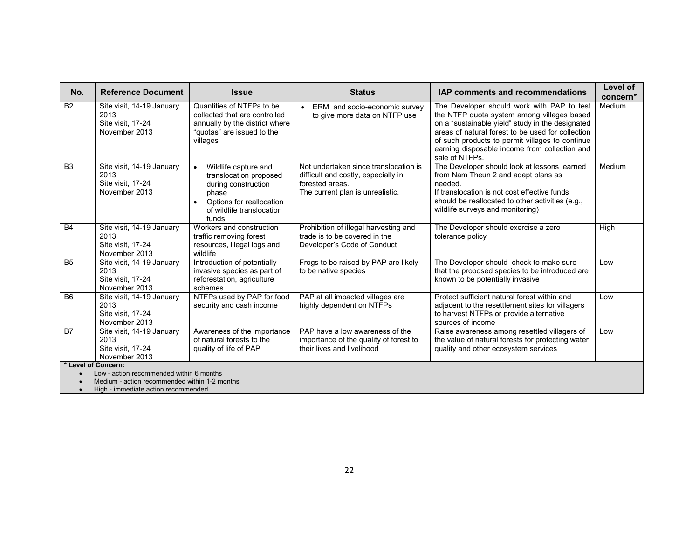| No.            | <b>Reference Document</b>                                               | <b>Issue</b>                                                                                                                                                               | <b>Status</b>                                                                                                                       | IAP comments and recommendations                                                                                                                                                                                                                                                                                        | Level of<br>concern* |
|----------------|-------------------------------------------------------------------------|----------------------------------------------------------------------------------------------------------------------------------------------------------------------------|-------------------------------------------------------------------------------------------------------------------------------------|-------------------------------------------------------------------------------------------------------------------------------------------------------------------------------------------------------------------------------------------------------------------------------------------------------------------------|----------------------|
| <b>B2</b>      | Site visit, 14-19 January<br>2013<br>Site visit, 17-24<br>November 2013 | Quantities of NTFPs to be<br>collected that are controlled<br>annually by the district where<br>"quotas" are issued to the<br>villages                                     | ERM and socio-economic survey<br>to give more data on NTFP use                                                                      | The Developer should work with PAP to test<br>the NTFP quota system among villages based<br>on a "sustainable yield" study in the designated<br>areas of natural forest to be used for collection<br>of such products to permit villages to continue<br>earning disposable income from collection and<br>sale of NTFPs. | Medium               |
| B <sub>3</sub> | Site visit, 14-19 January<br>2013<br>Site visit, 17-24<br>November 2013 | Wildlife capture and<br>$\bullet$<br>translocation proposed<br>during construction<br>phase<br>Options for reallocation<br>$\bullet$<br>of wildlife translocation<br>funds | Not undertaken since translocation is<br>difficult and costly, especially in<br>forested areas.<br>The current plan is unrealistic. | The Developer should look at lessons learned<br>from Nam Theun 2 and adapt plans as<br>needed.<br>If translocation is not cost effective funds<br>should be reallocated to other activities (e.g.,<br>wildlife surveys and monitoring)                                                                                  | Medium               |
| <b>B4</b>      | Site visit, 14-19 January<br>2013<br>Site visit, 17-24<br>November 2013 | Workers and construction<br>traffic removing forest<br>resources, illegal logs and<br>wildlife                                                                             | Prohibition of illegal harvesting and<br>trade is to be covered in the<br>Developer's Code of Conduct                               | The Developer should exercise a zero<br>tolerance policy                                                                                                                                                                                                                                                                | High                 |
| <b>B5</b>      | Site visit, 14-19 January<br>2013<br>Site visit, 17-24<br>November 2013 | Introduction of potentially<br>invasive species as part of<br>reforestation, agriculture<br>schemes                                                                        | Frogs to be raised by PAP are likely<br>to be native species                                                                        | The Developer should check to make sure<br>that the proposed species to be introduced are<br>known to be potentially invasive                                                                                                                                                                                           | Low                  |
| <b>B6</b>      | Site visit, 14-19 January<br>2013<br>Site visit, 17-24<br>November 2013 | NTFPs used by PAP for food<br>security and cash income                                                                                                                     | PAP at all impacted villages are<br>highly dependent on NTFPs                                                                       | Protect sufficient natural forest within and<br>adjacent to the resettlement sites for villagers<br>to harvest NTFPs or provide alternative<br>sources of income                                                                                                                                                        | Low                  |
| <b>B7</b>      | Site visit, 14-19 January<br>2013<br>Site visit, 17-24<br>November 2013 | Awareness of the importance<br>of natural forests to the<br>quality of life of PAP                                                                                         | PAP have a low awareness of the<br>importance of the quality of forest to<br>their lives and livelihood                             | Raise awareness among resettled villagers of<br>the value of natural forests for protecting water<br>quality and other ecosystem services                                                                                                                                                                               | Low                  |
|                | * Level of Concern:                                                     |                                                                                                                                                                            |                                                                                                                                     |                                                                                                                                                                                                                                                                                                                         |                      |
|                | Low - action recommended within 6 months                                | $\sim$ $\sim$ $\sim$ $\sim$ $\sim$                                                                                                                                         |                                                                                                                                     |                                                                                                                                                                                                                                                                                                                         |                      |

• Medium - action recommended within 1-2 months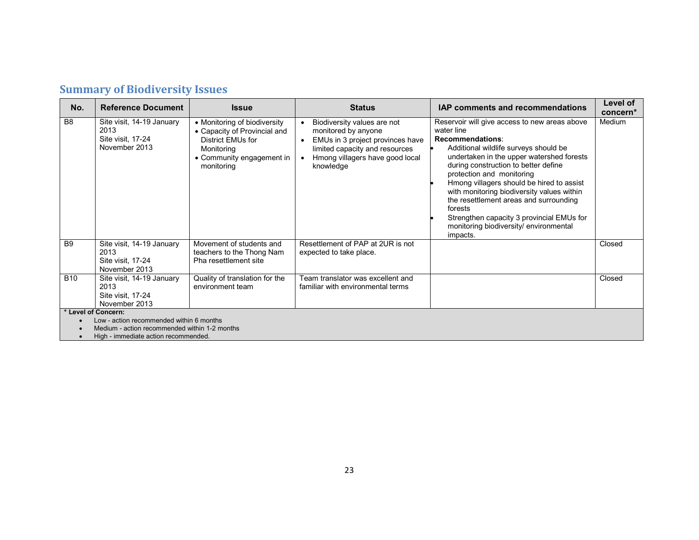## **Summary of Biodiversity Issues**

| No.                                                                                   | <b>Reference Document</b>                                               | <b>Issue</b>                                                                                                                               | <b>Status</b>                                                                                                                                                                         | <b>IAP comments and recommendations</b>                                                                                                                                                                                                                                                                                                                                                                                                                                                      | Level of<br>concern* |  |  |  |
|---------------------------------------------------------------------------------------|-------------------------------------------------------------------------|--------------------------------------------------------------------------------------------------------------------------------------------|---------------------------------------------------------------------------------------------------------------------------------------------------------------------------------------|----------------------------------------------------------------------------------------------------------------------------------------------------------------------------------------------------------------------------------------------------------------------------------------------------------------------------------------------------------------------------------------------------------------------------------------------------------------------------------------------|----------------------|--|--|--|
| B <sub>8</sub>                                                                        | Site visit, 14-19 January<br>2013<br>Site visit, 17-24<br>November 2013 | • Monitoring of biodiversity<br>• Capacity of Provincial and<br>District EMUs for<br>Monitoring<br>• Community engagement in<br>monitoring | Biodiversity values are not<br>monitored by anyone<br>EMUs in 3 project provinces have<br>$\bullet$<br>limited capacity and resources<br>Hmong villagers have good local<br>knowledge | Reservoir will give access to new areas above<br>water line<br>Recommendations:<br>Additional wildlife surveys should be<br>undertaken in the upper watershed forests<br>during construction to better define<br>protection and monitoring<br>Hmong villagers should be hired to assist<br>with monitoring biodiversity values within<br>the resettlement areas and surrounding<br>forests<br>Strengthen capacity 3 provincial EMUs for<br>monitoring biodiversity/environmental<br>impacts. | Medium               |  |  |  |
| B <sub>9</sub>                                                                        | Site visit, 14-19 January<br>2013<br>Site visit, 17-24<br>November 2013 | Movement of students and<br>teachers to the Thong Nam<br>Pha resettlement site                                                             | Resettlement of PAP at 2UR is not<br>expected to take place.                                                                                                                          |                                                                                                                                                                                                                                                                                                                                                                                                                                                                                              | Closed               |  |  |  |
| <b>B10</b>                                                                            | Site visit, 14-19 January<br>2013<br>Site visit, 17-24<br>November 2013 | Quality of translation for the<br>environment team                                                                                         | Team translator was excellent and<br>familiar with environmental terms                                                                                                                |                                                                                                                                                                                                                                                                                                                                                                                                                                                                                              | Closed               |  |  |  |
| * Level of Concern:                                                                   |                                                                         |                                                                                                                                            |                                                                                                                                                                                       |                                                                                                                                                                                                                                                                                                                                                                                                                                                                                              |                      |  |  |  |
| Low - action recommended within 6 months                                              |                                                                         |                                                                                                                                            |                                                                                                                                                                                       |                                                                                                                                                                                                                                                                                                                                                                                                                                                                                              |                      |  |  |  |
| Medium - action recommended within 1-2 months<br>High - immediate action recommended. |                                                                         |                                                                                                                                            |                                                                                                                                                                                       |                                                                                                                                                                                                                                                                                                                                                                                                                                                                                              |                      |  |  |  |
|                                                                                       |                                                                         |                                                                                                                                            |                                                                                                                                                                                       |                                                                                                                                                                                                                                                                                                                                                                                                                                                                                              |                      |  |  |  |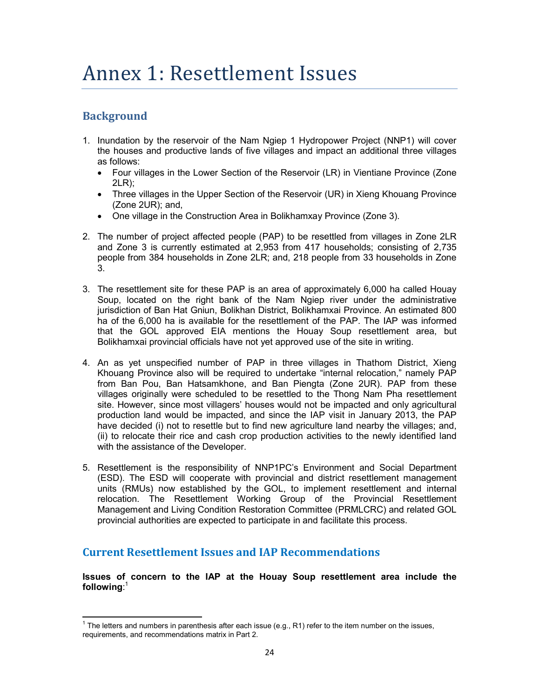# Annex 1: Resettlement Issues

### **Background**

 $\overline{a}$ 

- 1. Inundation by the reservoir of the Nam Ngiep 1 Hydropower Project (NNP1) will cover the houses and productive lands of five villages and impact an additional three villages as follows:
	- Four villages in the Lower Section of the Reservoir (LR) in Vientiane Province (Zone 2LR);
	- Three villages in the Upper Section of the Reservoir (UR) in Xieng Khouang Province (Zone 2UR); and,
	- One village in the Construction Area in Bolikhamxay Province (Zone 3).
- 2. The number of project affected people (PAP) to be resettled from villages in Zone 2LR and Zone 3 is currently estimated at 2,953 from 417 households; consisting of 2,735 people from 384 households in Zone 2LR; and, 218 people from 33 households in Zone 3.
- 3. The resettlement site for these PAP is an area of approximately 6,000 ha called Houay Soup, located on the right bank of the Nam Ngiep river under the administrative jurisdiction of Ban Hat Gniun, Bolikhan District, Bolikhamxai Province. An estimated 800 ha of the 6,000 ha is available for the resettlement of the PAP. The IAP was informed that the GOL approved EIA mentions the Houay Soup resettlement area, but Bolikhamxai provincial officials have not yet approved use of the site in writing.
- 4. An as yet unspecified number of PAP in three villages in Thathom District, Xieng Khouang Province also will be required to undertake "internal relocation," namely PAP from Ban Pou, Ban Hatsamkhone, and Ban Piengta (Zone 2UR). PAP from these villages originally were scheduled to be resettled to the Thong Nam Pha resettlement site. However, since most villagers' houses would not be impacted and only agricultural production land would be impacted, and since the IAP visit in January 2013, the PAP have decided (i) not to resettle but to find new agriculture land nearby the villages; and, (ii) to relocate their rice and cash crop production activities to the newly identified land with the assistance of the Developer.
- 5. Resettlement is the responsibility of NNP1PC's Environment and Social Department (ESD). The ESD will cooperate with provincial and district resettlement management units (RMUs) now established by the GOL, to implement resettlement and internal relocation. The Resettlement Working Group of the Provincial Resettlement Management and Living Condition Restoration Committee (PRMLCRC) and related GOL provincial authorities are expected to participate in and facilitate this process.

#### **Current Resettlement Issues and IAP Recommendations**

**Issues of concern to the IAP at the Houay Soup resettlement area include the following**: 1

<sup>&</sup>lt;sup>1</sup> The letters and numbers in parenthesis after each issue (e.g., R1) refer to the item number on the issues, requirements, and recommendations matrix in Part 2.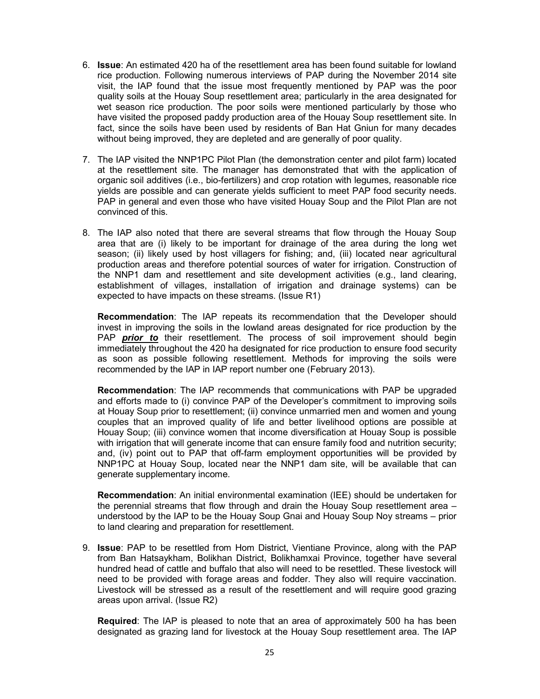- 6. **Issue**: An estimated 420 ha of the resettlement area has been found suitable for lowland rice production. Following numerous interviews of PAP during the November 2014 site visit, the IAP found that the issue most frequently mentioned by PAP was the poor quality soils at the Houay Soup resettlement area; particularly in the area designated for wet season rice production. The poor soils were mentioned particularly by those who have visited the proposed paddy production area of the Houay Soup resettlement site. In fact, since the soils have been used by residents of Ban Hat Gniun for many decades without being improved, they are depleted and are generally of poor quality.
- 7. The IAP visited the NNP1PC Pilot Plan (the demonstration center and pilot farm) located at the resettlement site. The manager has demonstrated that with the application of organic soil additives (i.e., bio-fertilizers) and crop rotation with legumes, reasonable rice yields are possible and can generate yields sufficient to meet PAP food security needs. PAP in general and even those who have visited Houay Soup and the Pilot Plan are not convinced of this.
- 8. The IAP also noted that there are several streams that flow through the Houay Soup area that are (i) likely to be important for drainage of the area during the long wet season; (ii) likely used by host villagers for fishing; and, (iii) located near agricultural production areas and therefore potential sources of water for irrigation. Construction of the NNP1 dam and resettlement and site development activities (e.g., land clearing, establishment of villages, installation of irrigation and drainage systems) can be expected to have impacts on these streams. (Issue R1)

**Recommendation**: The IAP repeats its recommendation that the Developer should invest in improving the soils in the lowland areas designated for rice production by the PAP *prior to* their resettlement. The process of soil improvement should begin immediately throughout the 420 ha designated for rice production to ensure food security as soon as possible following resettlement. Methods for improving the soils were recommended by the IAP in IAP report number one (February 2013).

**Recommendation**: The IAP recommends that communications with PAP be upgraded and efforts made to (i) convince PAP of the Developer's commitment to improving soils at Houay Soup prior to resettlement; (ii) convince unmarried men and women and young couples that an improved quality of life and better livelihood options are possible at Houay Soup; (iii) convince women that income diversification at Houay Soup is possible with irrigation that will generate income that can ensure family food and nutrition security; and, (iv) point out to PAP that off-farm employment opportunities will be provided by NNP1PC at Houay Soup, located near the NNP1 dam site, will be available that can generate supplementary income.

**Recommendation**: An initial environmental examination (IEE) should be undertaken for the perennial streams that flow through and drain the Houay Soup resettlement area – understood by the IAP to be the Houay Soup Gnai and Houay Soup Noy streams – prior to land clearing and preparation for resettlement.

9. **Issue**: PAP to be resettled from Hom District, Vientiane Province, along with the PAP from Ban Hatsaykham, Bolikhan District, Bolikhamxai Province, together have several hundred head of cattle and buffalo that also will need to be resettled. These livestock will need to be provided with forage areas and fodder. They also will require vaccination. Livestock will be stressed as a result of the resettlement and will require good grazing areas upon arrival. (Issue R2)

**Required**: The IAP is pleased to note that an area of approximately 500 ha has been designated as grazing land for livestock at the Houay Soup resettlement area. The IAP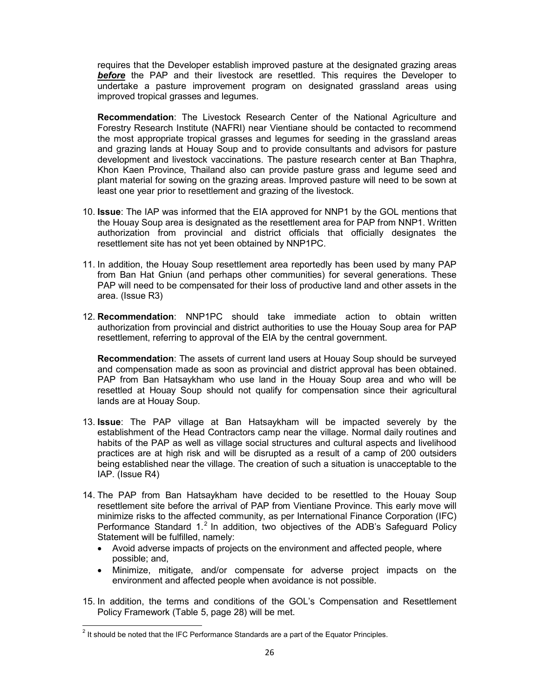requires that the Developer establish improved pasture at the designated grazing areas *before* the PAP and their livestock are resettled. This requires the Developer to undertake a pasture improvement program on designated grassland areas using improved tropical grasses and legumes.

**Recommendation**: The Livestock Research Center of the National Agriculture and Forestry Research Institute (NAFRI) near Vientiane should be contacted to recommend the most appropriate tropical grasses and legumes for seeding in the grassland areas and grazing lands at Houay Soup and to provide consultants and advisors for pasture development and livestock vaccinations. The pasture research center at Ban Thaphra, Khon Kaen Province, Thailand also can provide pasture grass and legume seed and plant material for sowing on the grazing areas. Improved pasture will need to be sown at least one year prior to resettlement and grazing of the livestock.

- 10. **Issue**: The IAP was informed that the EIA approved for NNP1 by the GOL mentions that the Houay Soup area is designated as the resettlement area for PAP from NNP1. Written authorization from provincial and district officials that officially designates the resettlement site has not yet been obtained by NNP1PC.
- 11. In addition, the Houay Soup resettlement area reportedly has been used by many PAP from Ban Hat Gniun (and perhaps other communities) for several generations. These PAP will need to be compensated for their loss of productive land and other assets in the area. (Issue R3)
- 12. **Recommendation**: NNP1PC should take immediate action to obtain written authorization from provincial and district authorities to use the Houay Soup area for PAP resettlement, referring to approval of the EIA by the central government.

**Recommendation**: The assets of current land users at Houay Soup should be surveyed and compensation made as soon as provincial and district approval has been obtained. PAP from Ban Hatsaykham who use land in the Houay Soup area and who will be resettled at Houay Soup should not qualify for compensation since their agricultural lands are at Houay Soup.

- 13. **Issue**: The PAP village at Ban Hatsaykham will be impacted severely by the establishment of the Head Contractors camp near the village. Normal daily routines and habits of the PAP as well as village social structures and cultural aspects and livelihood practices are at high risk and will be disrupted as a result of a camp of 200 outsiders being established near the village. The creation of such a situation is unacceptable to the IAP. (Issue R4)
- 14. The PAP from Ban Hatsaykham have decided to be resettled to the Houay Soup resettlement site before the arrival of PAP from Vientiane Province. This early move will minimize risks to the affected community, as per International Finance Corporation (IFC) Performance Standard  $1<sup>2</sup>$  In addition, two objectives of the ADB's Safeguard Policy Statement will be fulfilled, namely:
	- Avoid adverse impacts of projects on the environment and affected people, where possible; and,
	- Minimize, mitigate, and/or compensate for adverse project impacts on the environment and affected people when avoidance is not possible.
- 15. In addition, the terms and conditions of the GOL's Compensation and Resettlement Policy Framework (Table 5, page 28) will be met.

 $\overline{a}$ 

 $2$  It should be noted that the IFC Performance Standards are a part of the Equator Principles.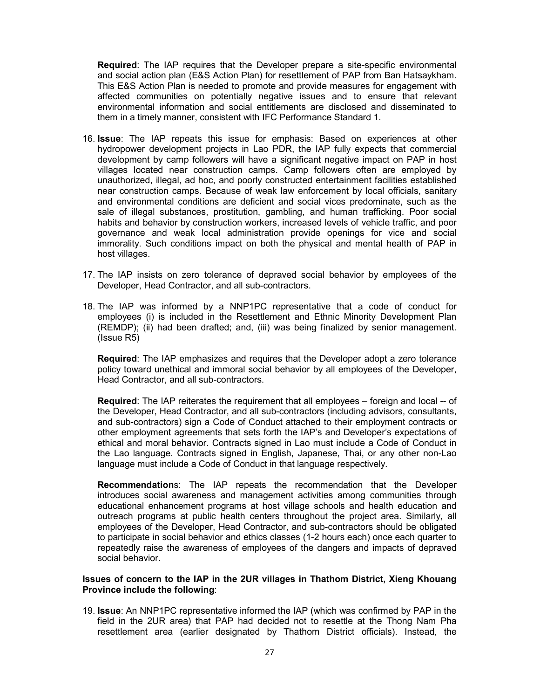**Required**: The IAP requires that the Developer prepare a site-specific environmental and social action plan (E&S Action Plan) for resettlement of PAP from Ban Hatsaykham. This E&S Action Plan is needed to promote and provide measures for engagement with affected communities on potentially negative issues and to ensure that relevant environmental information and social entitlements are disclosed and disseminated to them in a timely manner, consistent with IFC Performance Standard 1.

- 16. **Issue**: The IAP repeats this issue for emphasis: Based on experiences at other hydropower development projects in Lao PDR, the IAP fully expects that commercial development by camp followers will have a significant negative impact on PAP in host villages located near construction camps. Camp followers often are employed by unauthorized, illegal, ad hoc, and poorly constructed entertainment facilities established near construction camps. Because of weak law enforcement by local officials, sanitary and environmental conditions are deficient and social vices predominate, such as the sale of illegal substances, prostitution, gambling, and human trafficking. Poor social habits and behavior by construction workers, increased levels of vehicle traffic, and poor governance and weak local administration provide openings for vice and social immorality. Such conditions impact on both the physical and mental health of PAP in host villages.
- 17. The IAP insists on zero tolerance of depraved social behavior by employees of the Developer, Head Contractor, and all sub-contractors.
- 18. The IAP was informed by a NNP1PC representative that a code of conduct for employees (i) is included in the Resettlement and Ethnic Minority Development Plan (REMDP); (ii) had been drafted; and, (iii) was being finalized by senior management. (Issue R5)

**Required**: The IAP emphasizes and requires that the Developer adopt a zero tolerance policy toward unethical and immoral social behavior by all employees of the Developer, Head Contractor, and all sub-contractors.

**Required**: The IAP reiterates the requirement that all employees – foreign and local -- of the Developer, Head Contractor, and all sub-contractors (including advisors, consultants, and sub-contractors) sign a Code of Conduct attached to their employment contracts or other employment agreements that sets forth the IAP's and Developer's expectations of ethical and moral behavior. Contracts signed in Lao must include a Code of Conduct in the Lao language. Contracts signed in English, Japanese, Thai, or any other non-Lao language must include a Code of Conduct in that language respectively.

**Recommendation**s: The IAP repeats the recommendation that the Developer introduces social awareness and management activities among communities through educational enhancement programs at host village schools and health education and outreach programs at public health centers throughout the project area. Similarly, all employees of the Developer, Head Contractor, and sub-contractors should be obligated to participate in social behavior and ethics classes (1-2 hours each) once each quarter to repeatedly raise the awareness of employees of the dangers and impacts of depraved social behavior.

#### **Issues of concern to the IAP in the 2UR villages in Thathom District, Xieng Khouang Province include the following**:

19. **Issue**: An NNP1PC representative informed the IAP (which was confirmed by PAP in the field in the 2UR area) that PAP had decided not to resettle at the Thong Nam Pha resettlement area (earlier designated by Thathom District officials). Instead, the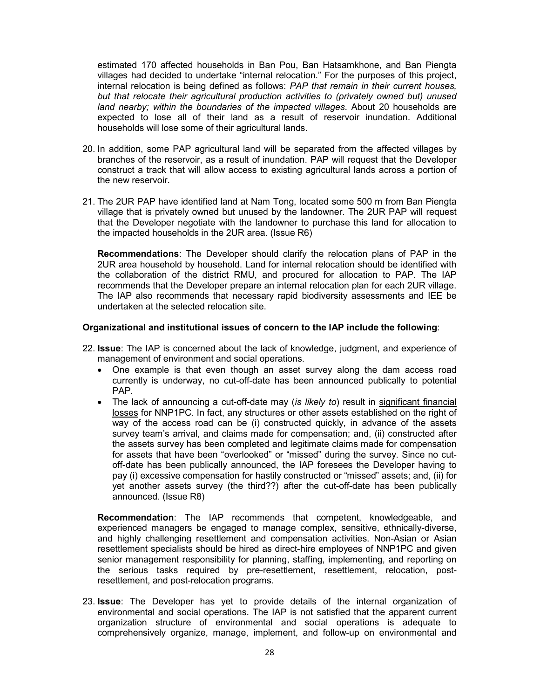estimated 170 affected households in Ban Pou, Ban Hatsamkhone, and Ban Piengta villages had decided to undertake "internal relocation." For the purposes of this project, internal relocation is being defined as follows: *PAP that remain in their current houses, but that relocate their agricultural production activities to (privately owned but) unused land nearby; within the boundaries of the impacted villages*. About 20 households are expected to lose all of their land as a result of reservoir inundation. Additional households will lose some of their agricultural lands.

- 20. In addition, some PAP agricultural land will be separated from the affected villages by branches of the reservoir, as a result of inundation. PAP will request that the Developer construct a track that will allow access to existing agricultural lands across a portion of the new reservoir.
- 21. The 2UR PAP have identified land at Nam Tong, located some 500 m from Ban Piengta village that is privately owned but unused by the landowner. The 2UR PAP will request that the Developer negotiate with the landowner to purchase this land for allocation to the impacted households in the 2UR area. (Issue R6)

**Recommendations**: The Developer should clarify the relocation plans of PAP in the 2UR area household by household. Land for internal relocation should be identified with the collaboration of the district RMU, and procured for allocation to PAP. The IAP recommends that the Developer prepare an internal relocation plan for each 2UR village. The IAP also recommends that necessary rapid biodiversity assessments and IEE be undertaken at the selected relocation site.

#### **Organizational and institutional issues of concern to the IAP include the following**:

- 22. **Issue**: The IAP is concerned about the lack of knowledge, judgment, and experience of management of environment and social operations.
	- One example is that even though an asset survey along the dam access road currently is underway, no cut-off-date has been announced publically to potential PAP.
	- The lack of announcing a cut-off-date may (*is likely to*) result in significant financial losses for NNP1PC. In fact, any structures or other assets established on the right of way of the access road can be (i) constructed quickly, in advance of the assets survey team's arrival, and claims made for compensation; and, (ii) constructed after the assets survey has been completed and legitimate claims made for compensation for assets that have been "overlooked" or "missed" during the survey. Since no cutoff-date has been publically announced, the IAP foresees the Developer having to pay (i) excessive compensation for hastily constructed or "missed" assets; and, (ii) for yet another assets survey (the third??) after the cut-off-date has been publically announced. (Issue R8)

**Recommendation**: The IAP recommends that competent, knowledgeable, and experienced managers be engaged to manage complex, sensitive, ethnically-diverse, and highly challenging resettlement and compensation activities. Non-Asian or Asian resettlement specialists should be hired as direct-hire employees of NNP1PC and given senior management responsibility for planning, staffing, implementing, and reporting on the serious tasks required by pre-resettlement, resettlement, relocation, postresettlement, and post-relocation programs.

23. **Issue**: The Developer has yet to provide details of the internal organization of environmental and social operations. The IAP is not satisfied that the apparent current organization structure of environmental and social operations is adequate to comprehensively organize, manage, implement, and follow-up on environmental and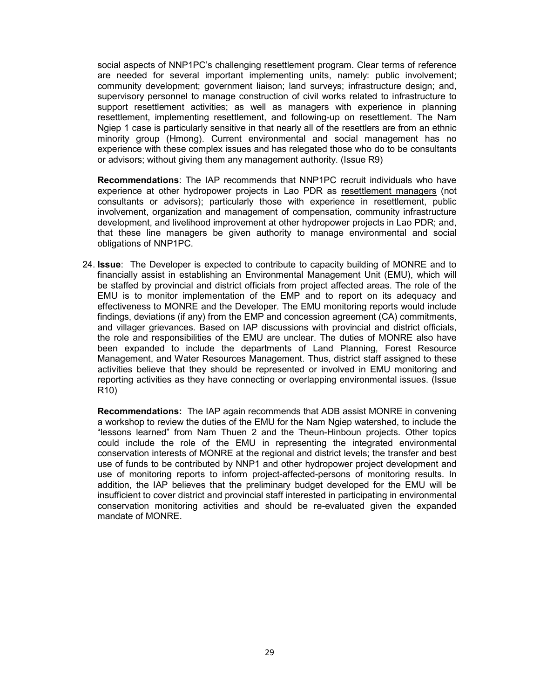social aspects of NNP1PC's challenging resettlement program. Clear terms of reference are needed for several important implementing units, namely: public involvement; community development; government liaison; land surveys; infrastructure design; and, supervisory personnel to manage construction of civil works related to infrastructure to support resettlement activities; as well as managers with experience in planning resettlement, implementing resettlement, and following-up on resettlement. The Nam Ngiep 1 case is particularly sensitive in that nearly all of the resettlers are from an ethnic minority group (Hmong). Current environmental and social management has no experience with these complex issues and has relegated those who do to be consultants or advisors; without giving them any management authority. (Issue R9)

**Recommendations**: The IAP recommends that NNP1PC recruit individuals who have experience at other hydropower projects in Lao PDR as resettlement managers (not consultants or advisors); particularly those with experience in resettlement, public involvement, organization and management of compensation, community infrastructure development, and livelihood improvement at other hydropower projects in Lao PDR; and, that these line managers be given authority to manage environmental and social obligations of NNP1PC.

24. **Issue**: The Developer is expected to contribute to capacity building of MONRE and to financially assist in establishing an Environmental Management Unit (EMU), which will be staffed by provincial and district officials from project affected areas. The role of the EMU is to monitor implementation of the EMP and to report on its adequacy and effectiveness to MONRE and the Developer. The EMU monitoring reports would include findings, deviations (if any) from the EMP and concession agreement (CA) commitments, and villager grievances. Based on IAP discussions with provincial and district officials, the role and responsibilities of the EMU are unclear. The duties of MONRE also have been expanded to include the departments of Land Planning, Forest Resource Management, and Water Resources Management. Thus, district staff assigned to these activities believe that they should be represented or involved in EMU monitoring and reporting activities as they have connecting or overlapping environmental issues. (Issue R10)

**Recommendations:** The IAP again recommends that ADB assist MONRE in convening a workshop to review the duties of the EMU for the Nam Ngiep watershed, to include the "lessons learned" from Nam Thuen 2 and the Theun-Hinboun projects. Other topics could include the role of the EMU in representing the integrated environmental conservation interests of MONRE at the regional and district levels; the transfer and best use of funds to be contributed by NNP1 and other hydropower project development and use of monitoring reports to inform project-affected-persons of monitoring results. In addition, the IAP believes that the preliminary budget developed for the EMU will be insufficient to cover district and provincial staff interested in participating in environmental conservation monitoring activities and should be re-evaluated given the expanded mandate of MONRE.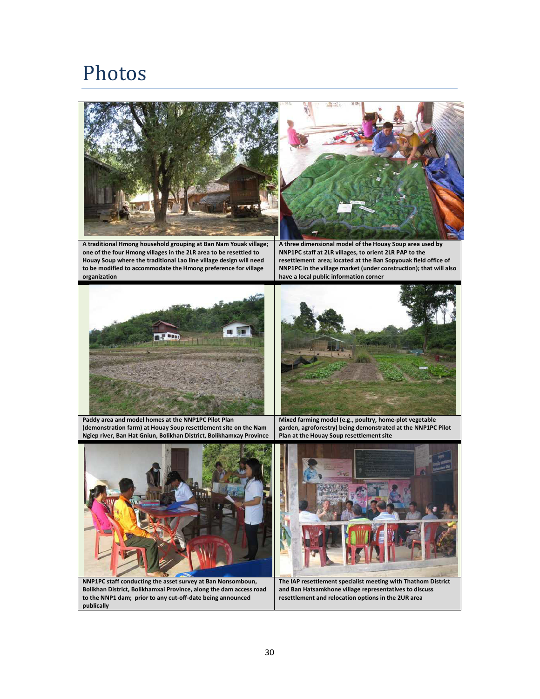# Photos





**A traditional Hmong household grouping at Ban Nam Youak village; one of the four Hmong villages in the 2LR area to be resettled to Houay Soup where the traditional Lao line village design will need to be modified to accommodate the Hmong preference for village organization** 

**A three dimensional model of the Houay Soup area used by NNP1PC staff at 2LR villages, to orient 2LR PAP to the resettlement area; located at the Ban Sopyouak field office of NNP1PC in the village market (under construction); that will also have a local public information corner** 





**Paddy area and model homes at the NNP1PC Pilot Plan (demonstration farm) at Houay Soup resettlement site on the Nam Ngiep river, Ban Hat Gniun, Bolikhan District, Bolikhamxay Province** 

**Mixed farming model (e.g., poultry, home-plot vegetable garden, agroforestry) being demonstrated at the NNP1PC Pilot Plan at the Houay Soup resettlement site** 



**NNP1PC staff conducting the asset survey at Ban Nonsomboun, Bolikhan District, Bolikhamxai Province, along the dam access road to the NNP1 dam; prior to any cut-off-date being announced publically** 



**The IAP resettlement specialist meeting with Thathom District and Ban Hatsamkhone village representatives to discuss resettlement and relocation options in the 2UR area**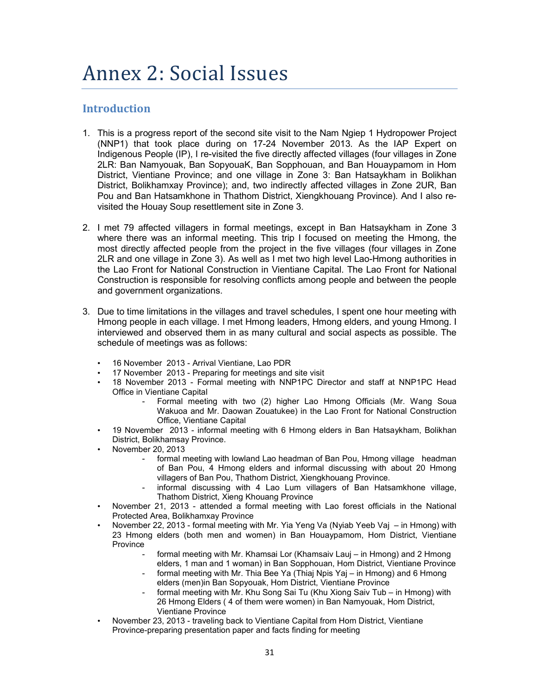# Annex 2: Social Issues

### **Introduction**

- 1. This is a progress report of the second site visit to the Nam Ngiep 1 Hydropower Project (NNP1) that took place during on 17-24 November 2013. As the IAP Expert on Indigenous People (IP), I re-visited the five directly affected villages (four villages in Zone 2LR: Ban Namyouak, Ban SopyouaK, Ban Sopphouan, and Ban Houaypamom in Hom District, Vientiane Province; and one village in Zone 3: Ban Hatsaykham in Bolikhan District, Bolikhamxay Province); and, two indirectly affected villages in Zone 2UR, Ban Pou and Ban Hatsamkhone in Thathom District, Xiengkhouang Province). And I also revisited the Houay Soup resettlement site in Zone 3.
- 2. I met 79 affected villagers in formal meetings, except in Ban Hatsaykham in Zone 3 where there was an informal meeting. This trip I focused on meeting the Hmong, the most directly affected people from the project in the five villages (four villages in Zone 2LR and one village in Zone 3). As well as I met two high level Lao-Hmong authorities in the Lao Front for National Construction in Vientiane Capital. The Lao Front for National Construction is responsible for resolving conflicts among people and between the people and government organizations.
- 3. Due to time limitations in the villages and travel schedules, I spent one hour meeting with Hmong people in each village. I met Hmong leaders, Hmong elders, and young Hmong. I interviewed and observed them in as many cultural and social aspects as possible. The schedule of meetings was as follows:
	- 16 November 2013 Arrival Vientiane, Lao PDR
	- 17 November 2013 Preparing for meetings and site visit
	- 18 November 2013 Formal meeting with NNP1PC Director and staff at NNP1PC Head Office in Vientiane Capital
		- Formal meeting with two (2) higher Lao Hmong Officials (Mr. Wang Soua Wakuoa and Mr. Daowan Zouatukee) in the Lao Front for National Construction Office, Vientiane Capital
	- 19 November 2013 informal meeting with 6 Hmong elders in Ban Hatsaykham, Bolikhan District, Bolikhamsay Province.
		- November 20, 2013
			- formal meeting with lowland Lao headman of Ban Pou, Hmong village headman of Ban Pou, 4 Hmong elders and informal discussing with about 20 Hmong villagers of Ban Pou, Thathom District, Xiengkhouang Province.
			- informal discussing with 4 Lao Lum villagers of Ban Hatsamkhone village, Thathom District, Xieng Khouang Province
	- November 21, 2013 attended a formal meeting with Lao forest officials in the National Protected Area, Bolikhamxay Province
	- November 22, 2013 formal meeting with Mr. Yia Yeng Va (Nyiab Yeeb Vaj in Hmong) with 23 Hmong elders (both men and women) in Ban Houaypamom, Hom District, Vientiane Province
		- formal meeting with Mr. Khamsai Lor (Khamsaiv Lauj in Hmong) and 2 Hmong elders, 1 man and 1 woman) in Ban Sopphouan, Hom District, Vientiane Province
		- formal meeting with Mr. Thia Bee Ya (Thiaj Npis Yaj in Hmong) and 6 Hmong elders (men)in Ban Sopyouak, Hom District, Vientiane Province
		- formal meeting with Mr. Khu Song Sai Tu (Khu Xiong Saiv Tub in Hmong) with 26 Hmong Elders ( 4 of them were women) in Ban Namyouak, Hom District, Vientiane Province
	- November 23, 2013 traveling back to Vientiane Capital from Hom District, Vientiane Province-preparing presentation paper and facts finding for meeting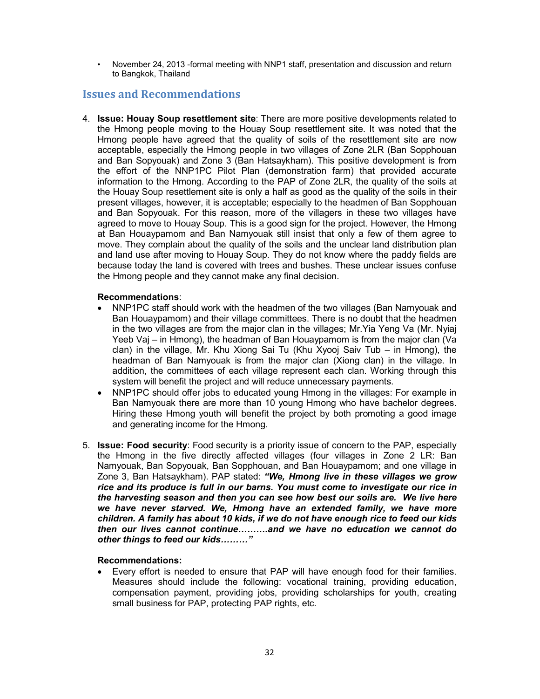• November 24, 2013 -formal meeting with NNP1 staff, presentation and discussion and return to Bangkok, Thailand

#### **Issues and Recommendations**

4. **Issue: Houay Soup resettlement site**: There are more positive developments related to the Hmong people moving to the Houay Soup resettlement site. It was noted that the Hmong people have agreed that the quality of soils of the resettlement site are now acceptable, especially the Hmong people in two villages of Zone 2LR (Ban Sopphouan and Ban Sopyouak) and Zone 3 (Ban Hatsaykham). This positive development is from the effort of the NNP1PC Pilot Plan (demonstration farm) that provided accurate information to the Hmong. According to the PAP of Zone 2LR, the quality of the soils at the Houay Soup resettlement site is only a half as good as the quality of the soils in their present villages, however, it is acceptable; especially to the headmen of Ban Sopphouan and Ban Sopyouak. For this reason, more of the villagers in these two villages have agreed to move to Houay Soup. This is a good sign for the project. However, the Hmong at Ban Houaypamom and Ban Namyouak still insist that only a few of them agree to move. They complain about the quality of the soils and the unclear land distribution plan and land use after moving to Houay Soup. They do not know where the paddy fields are because today the land is covered with trees and bushes. These unclear issues confuse the Hmong people and they cannot make any final decision.

#### **Recommendations**:

- NNP1PC staff should work with the headmen of the two villages (Ban Namyouak and Ban Houaypamom) and their village committees. There is no doubt that the headmen in the two villages are from the major clan in the villages; Mr.Yia Yeng Va (Mr. Nyiaj Yeeb Vaj – in Hmong), the headman of Ban Houaypamom is from the major clan (Va clan) in the village, Mr. Khu Xiong Sai Tu (Khu Xyooj Saiv Tub – in Hmong), the headman of Ban Namyouak is from the major clan (Xiong clan) in the village. In addition, the committees of each village represent each clan. Working through this system will benefit the project and will reduce unnecessary payments.
- NNP1PC should offer jobs to educated young Hmong in the villages: For example in Ban Namyouak there are more than 10 young Hmong who have bachelor degrees. Hiring these Hmong youth will benefit the project by both promoting a good image and generating income for the Hmong.
- 5. **Issue: Food security**: Food security is a priority issue of concern to the PAP, especially the Hmong in the five directly affected villages (four villages in Zone 2 LR: Ban Namyouak, Ban Sopyouak, Ban Sopphouan, and Ban Houaypamom; and one village in Zone 3, Ban Hatsaykham). PAP stated: *"We, Hmong live in these villages we grow rice and its produce is full in our barns. You must come to investigate our rice in the harvesting season and then you can see how best our soils are. We live here we have never starved. We, Hmong have an extended family, we have more children. A family has about 10 kids, if we do not have enough rice to feed our kids then our lives cannot continue---.and we have no education we cannot do other things to feed our kids........."*

#### **Recommendations:**

• Every effort is needed to ensure that PAP will have enough food for their families. Measures should include the following: vocational training, providing education, compensation payment, providing jobs, providing scholarships for youth, creating small business for PAP, protecting PAP rights, etc.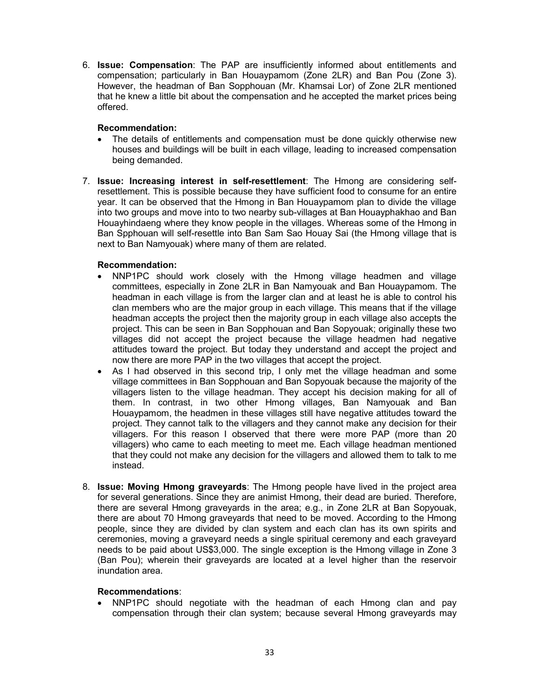6. **Issue: Compensation**: The PAP are insufficiently informed about entitlements and compensation; particularly in Ban Houaypamom (Zone 2LR) and Ban Pou (Zone 3). However, the headman of Ban Sopphouan (Mr. Khamsai Lor) of Zone 2LR mentioned that he knew a little bit about the compensation and he accepted the market prices being offered.

#### **Recommendation:**

- The details of entitlements and compensation must be done quickly otherwise new houses and buildings will be built in each village, leading to increased compensation being demanded.
- 7. **Issue: Increasing interest in self-resettlement**: The Hmong are considering selfresettlement. This is possible because they have sufficient food to consume for an entire year. It can be observed that the Hmong in Ban Houaypamom plan to divide the village into two groups and move into to two nearby sub-villages at Ban Houayphakhao and Ban Houayhindaeng where they know people in the villages. Whereas some of the Hmong in Ban Spphouan will self-resettle into Ban Sam Sao Houay Sai (the Hmong village that is next to Ban Namyouak) where many of them are related.

#### **Recommendation:**

- NNP1PC should work closely with the Hmong village headmen and village committees, especially in Zone 2LR in Ban Namyouak and Ban Houaypamom. The headman in each village is from the larger clan and at least he is able to control his clan members who are the major group in each village. This means that if the village headman accepts the project then the majority group in each village also accepts the project. This can be seen in Ban Sopphouan and Ban Sopyouak; originally these two villages did not accept the project because the village headmen had negative attitudes toward the project. But today they understand and accept the project and now there are more PAP in the two villages that accept the project.
- As I had observed in this second trip, I only met the village headman and some village committees in Ban Sopphouan and Ban Sopyouak because the majority of the villagers listen to the village headman. They accept his decision making for all of them. In contrast, in two other Hmong villages, Ban Namyouak and Ban Houaypamom, the headmen in these villages still have negative attitudes toward the project. They cannot talk to the villagers and they cannot make any decision for their villagers. For this reason I observed that there were more PAP (more than 20 villagers) who came to each meeting to meet me. Each village headman mentioned that they could not make any decision for the villagers and allowed them to talk to me instead.
- 8. **Issue: Moving Hmong graveyards**: The Hmong people have lived in the project area for several generations. Since they are animist Hmong, their dead are buried. Therefore, there are several Hmong graveyards in the area; e.g., in Zone 2LR at Ban Sopyouak, there are about 70 Hmong graveyards that need to be moved. According to the Hmong people, since they are divided by clan system and each clan has its own spirits and ceremonies, moving a graveyard needs a single spiritual ceremony and each graveyard needs to be paid about US\$3,000. The single exception is the Hmong village in Zone 3 (Ban Pou); wherein their graveyards are located at a level higher than the reservoir inundation area.

#### **Recommendations**:

• NNP1PC should negotiate with the headman of each Hmong clan and pay compensation through their clan system; because several Hmong graveyards may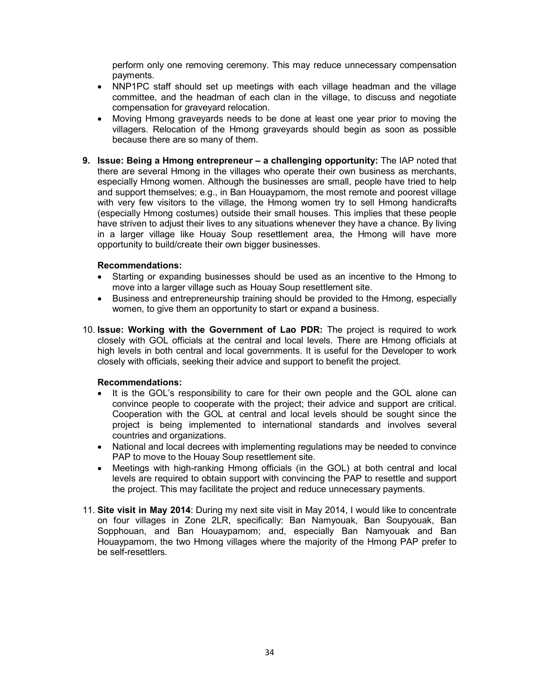perform only one removing ceremony. This may reduce unnecessary compensation payments.

- NNP1PC staff should set up meetings with each village headman and the village committee, and the headman of each clan in the village, to discuss and negotiate compensation for graveyard relocation.
- Moving Hmong graveyards needs to be done at least one year prior to moving the villagers. Relocation of the Hmong graveyards should begin as soon as possible because there are so many of them.
- **9. Issue: Being a Hmong entrepreneur a challenging opportunity:** The IAP noted that there are several Hmong in the villages who operate their own business as merchants, especially Hmong women. Although the businesses are small, people have tried to help and support themselves; e.g., in Ban Houaypamom, the most remote and poorest village with very few visitors to the village, the Hmong women try to sell Hmong handicrafts (especially Hmong costumes) outside their small houses. This implies that these people have striven to adjust their lives to any situations whenever they have a chance. By living in a larger village like Houay Soup resettlement area, the Hmong will have more opportunity to build/create their own bigger businesses.

#### **Recommendations:**

- Starting or expanding businesses should be used as an incentive to the Hmong to move into a larger village such as Houay Soup resettlement site.
- Business and entrepreneurship training should be provided to the Hmong, especially women, to give them an opportunity to start or expand a business.
- 10. **Issue: Working with the Government of Lao PDR:** The project is required to work closely with GOL officials at the central and local levels. There are Hmong officials at high levels in both central and local governments. It is useful for the Developer to work closely with officials, seeking their advice and support to benefit the project.

#### **Recommendations:**

- It is the GOL's responsibility to care for their own people and the GOL alone can convince people to cooperate with the project; their advice and support are critical. Cooperation with the GOL at central and local levels should be sought since the project is being implemented to international standards and involves several countries and organizations.
- National and local decrees with implementing regulations may be needed to convince PAP to move to the Houay Soup resettlement site.
- Meetings with high-ranking Hmong officials (in the GOL) at both central and local levels are required to obtain support with convincing the PAP to resettle and support the project. This may facilitate the project and reduce unnecessary payments.
- 11. **Site visit in May 2014**: During my next site visit in May 2014, I would like to concentrate on four villages in Zone 2LR, specifically: Ban Namyouak, Ban Soupyouak, Ban Sopphouan, and Ban Houaypamom; and, especially Ban Namyouak and Ban Houaypamom, the two Hmong villages where the majority of the Hmong PAP prefer to be self-resettlers.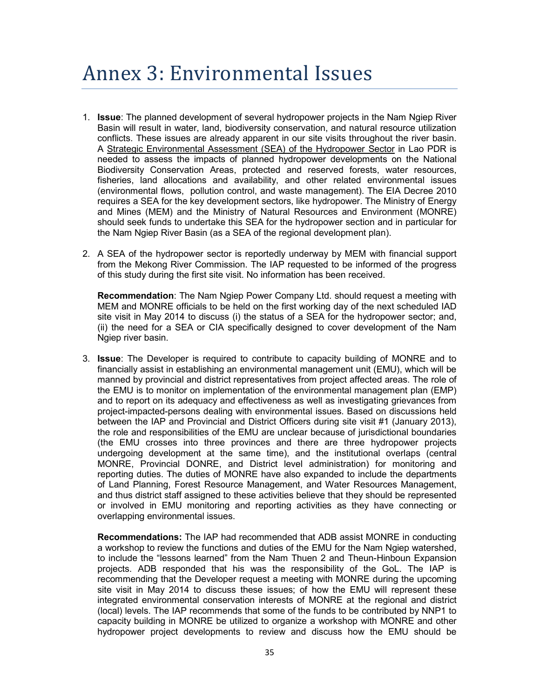# Annex 3: Environmental Issues

- 1. **Issue**: The planned development of several hydropower projects in the Nam Ngiep River Basin will result in water, land, biodiversity conservation, and natural resource utilization conflicts. These issues are already apparent in our site visits throughout the river basin. A Strategic Environmental Assessment (SEA) of the Hydropower Sector in Lao PDR is needed to assess the impacts of planned hydropower developments on the National Biodiversity Conservation Areas, protected and reserved forests, water resources, fisheries, land allocations and availability, and other related environmental issues (environmental flows, pollution control, and waste management). The EIA Decree 2010 requires a SEA for the key development sectors, like hydropower. The Ministry of Energy and Mines (MEM) and the Ministry of Natural Resources and Environment (MONRE) should seek funds to undertake this SEA for the hydropower section and in particular for the Nam Ngiep River Basin (as a SEA of the regional development plan).
- 2. A SEA of the hydropower sector is reportedly underway by MEM with financial support from the Mekong River Commission. The IAP requested to be informed of the progress of this study during the first site visit. No information has been received.

**Recommendation**: The Nam Ngiep Power Company Ltd. should request a meeting with MEM and MONRE officials to be held on the first working day of the next scheduled IAD site visit in May 2014 to discuss (i) the status of a SEA for the hydropower sector; and, (ii) the need for a SEA or CIA specifically designed to cover development of the Nam Ngiep river basin.

3. **Issue**: The Developer is required to contribute to capacity building of MONRE and to financially assist in establishing an environmental management unit (EMU), which will be manned by provincial and district representatives from project affected areas. The role of the EMU is to monitor on implementation of the environmental management plan (EMP) and to report on its adequacy and effectiveness as well as investigating grievances from project-impacted-persons dealing with environmental issues. Based on discussions held between the IAP and Provincial and District Officers during site visit #1 (January 2013), the role and responsibilities of the EMU are unclear because of jurisdictional boundaries (the EMU crosses into three provinces and there are three hydropower projects undergoing development at the same time), and the institutional overlaps (central MONRE, Provincial DONRE, and District level administration) for monitoring and reporting duties. The duties of MONRE have also expanded to include the departments of Land Planning, Forest Resource Management, and Water Resources Management, and thus district staff assigned to these activities believe that they should be represented or involved in EMU monitoring and reporting activities as they have connecting or overlapping environmental issues.

**Recommendations:** The IAP had recommended that ADB assist MONRE in conducting a workshop to review the functions and duties of the EMU for the Nam Ngiep watershed, to include the "lessons learned" from the Nam Thuen 2 and Theun-Hinboun Expansion projects. ADB responded that his was the responsibility of the GoL. The IAP is recommending that the Developer request a meeting with MONRE during the upcoming site visit in May 2014 to discuss these issues; of how the EMU will represent these integrated environmental conservation interests of MONRE at the regional and district (local) levels. The IAP recommends that some of the funds to be contributed by NNP1 to capacity building in MONRE be utilized to organize a workshop with MONRE and other hydropower project developments to review and discuss how the EMU should be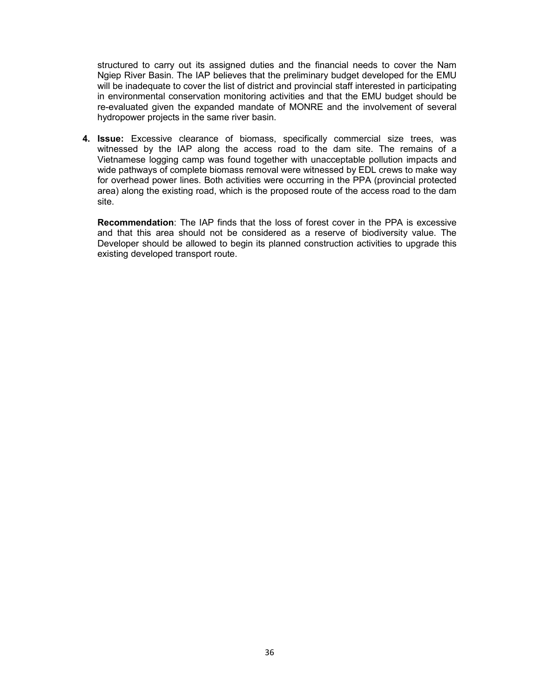structured to carry out its assigned duties and the financial needs to cover the Nam Ngiep River Basin. The IAP believes that the preliminary budget developed for the EMU will be inadequate to cover the list of district and provincial staff interested in participating in environmental conservation monitoring activities and that the EMU budget should be re-evaluated given the expanded mandate of MONRE and the involvement of several hydropower projects in the same river basin.

**4. Issue:** Excessive clearance of biomass, specifically commercial size trees, was witnessed by the IAP along the access road to the dam site. The remains of a Vietnamese logging camp was found together with unacceptable pollution impacts and wide pathways of complete biomass removal were witnessed by EDL crews to make way for overhead power lines. Both activities were occurring in the PPA (provincial protected area) along the existing road, which is the proposed route of the access road to the dam site.

**Recommendation**: The IAP finds that the loss of forest cover in the PPA is excessive and that this area should not be considered as a reserve of biodiversity value. The Developer should be allowed to begin its planned construction activities to upgrade this existing developed transport route.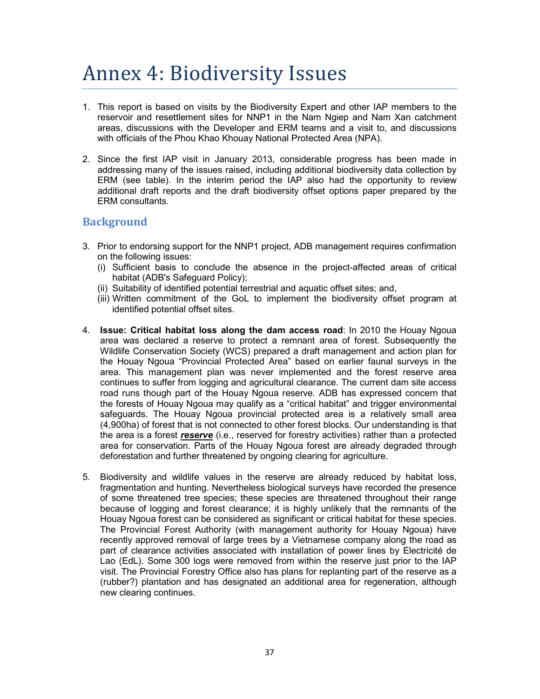# Annex 4: Biodiversity Issues

- 1. This report is based on visits by the Biodiversity Expert and other IAP members to the reservoir and resettlement sites for NNP1 in the Nam Ngiep and Nam Xan catchment areas, discussions with the Developer and ERM teams and a visit to, and discussions with officials of the Phou Khao Khouay National Protected Area (NPA).
- 2. Since the first IAP visit in January 2013, considerable progress has been made in addressing many of the issues raised, including additional biodiversity data collection by ERM (see table). In the interim period the IAP also had the opportunity to review additional draft reports and the draft biodiversity offset options paper prepared by the ERM consultants.

#### **Background**

- 3. Prior to endorsing support for the NNP1 project, ADB management requires confirmation on the following issues:
	- (i) Sufficient basis to conclude the absence in the project-affected areas of critical habitat (ADB's Safeguard Policy);
	- (ii) Suitability of identified potential terrestrial and aquatic offset sites; and,
	- (iii) Written commitment of the GoL to implement the biodiversity offset program at identified potential offset sites.
- 4. **Issue: Critical habitat loss along the dam access road**: In 2010 the Houay Ngoua area was declared a reserve to protect a remnant area of forest. Subsequently the Wildlife Conservation Society (WCS) prepared a draft management and action plan for the Houay Ngoua "Provincial Protected Area" based on earlier faunal surveys in the area. This management plan was never implemented and the forest reserve area continues to suffer from logging and agricultural clearance. The current dam site access road runs though part of the Houay Ngoua reserve. ADB has expressed concern that the forests of Houay Ngoua may qualify as a "critical habitat" and trigger environmental safeguards. The Houay Ngoua provincial protected area is a relatively small area (4,900ha) of forest that is not connected to other forest blocks. Our understanding is that the area is a forest *reserve* (i.e., reserved for forestry activities) rather than a protected area for conservation. Parts of the Houay Ngoua forest are already degraded through deforestation and further threatened by ongoing clearing for agriculture.
- 5. Biodiversity and wildlife values in the reserve are already reduced by habitat loss, fragmentation and hunting. Nevertheless biological surveys have recorded the presence of some threatened tree species; these species are threatened throughout their range because of logging and forest clearance; it is highly unlikely that the remnants of the Houay Ngoua forest can be considered as significant or critical habitat for these species. The Provincial Forest Authority (with management authority for Houay Ngoua) have recently approved removal of large trees by a Vietnamese company along the road as part of clearance activities associated with installation of power lines by Electricité de Lao (EdL). Some 300 logs were removed from within the reserve just prior to the IAP visit. The Provincial Forestry Office also has plans for replanting part of the reserve as a (rubber?) plantation and has designated an additional area for regeneration, although new clearing continues.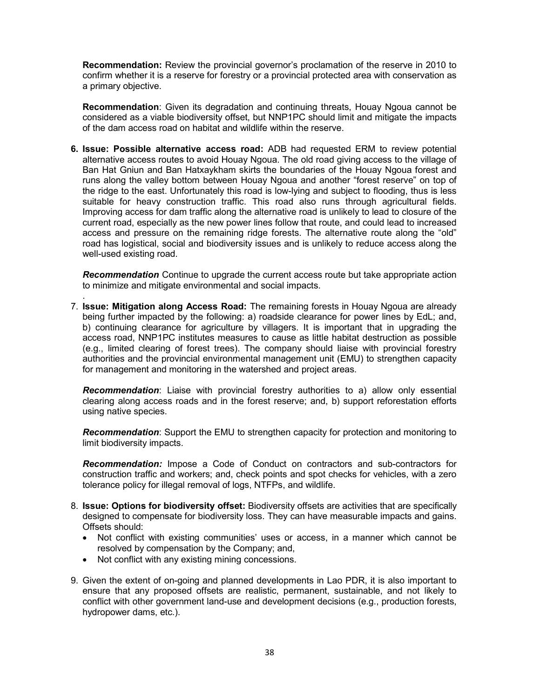**Recommendation:** Review the provincial governor's proclamation of the reserve in 2010 to confirm whether it is a reserve for forestry or a provincial protected area with conservation as a primary objective.

**Recommendation**: Given its degradation and continuing threats, Houay Ngoua cannot be considered as a viable biodiversity offset, but NNP1PC should limit and mitigate the impacts of the dam access road on habitat and wildlife within the reserve.

**6. Issue: Possible alternative access road:** ADB had requested ERM to review potential alternative access routes to avoid Houay Ngoua. The old road giving access to the village of Ban Hat Gniun and Ban Hatxaykham skirts the boundaries of the Houay Ngoua forest and runs along the valley bottom between Houay Ngoua and another "forest reserve" on top of the ridge to the east. Unfortunately this road is low-lying and subject to flooding, thus is less suitable for heavy construction traffic. This road also runs through agricultural fields. Improving access for dam traffic along the alternative road is unlikely to lead to closure of the current road, especially as the new power lines follow that route, and could lead to increased access and pressure on the remaining ridge forests. The alternative route along the "old" road has logistical, social and biodiversity issues and is unlikely to reduce access along the well-used existing road.

*Recommendation* Continue to upgrade the current access route but take appropriate action to minimize and mitigate environmental and social impacts.

7. **Issue: Mitigation along Access Road:** The remaining forests in Houay Ngoua are already being further impacted by the following: a) roadside clearance for power lines by EdL; and, b) continuing clearance for agriculture by villagers. It is important that in upgrading the access road, NNP1PC institutes measures to cause as little habitat destruction as possible (e.g., limited clearing of forest trees). The company should liaise with provincial forestry authorities and the provincial environmental management unit (EMU) to strengthen capacity for management and monitoring in the watershed and project areas.

*Recommendation*: Liaise with provincial forestry authorities to a) allow only essential clearing along access roads and in the forest reserve; and, b) support reforestation efforts using native species.

*Recommendation*: Support the EMU to strengthen capacity for protection and monitoring to limit biodiversity impacts.

*Recommendation:* Impose a Code of Conduct on contractors and sub-contractors for construction traffic and workers; and, check points and spot checks for vehicles, with a zero tolerance policy for illegal removal of logs, NTFPs, and wildlife.

- 8. **Issue: Options for biodiversity offset:** Biodiversity offsets are activities that are specifically designed to compensate for biodiversity loss. They can have measurable impacts and gains. Offsets should:
	- Not conflict with existing communities' uses or access, in a manner which cannot be resolved by compensation by the Company; and,
	- Not conflict with any existing mining concessions.

.

9. Given the extent of on-going and planned developments in Lao PDR, it is also important to ensure that any proposed offsets are realistic, permanent, sustainable, and not likely to conflict with other government land-use and development decisions (e.g., production forests, hydropower dams, etc.).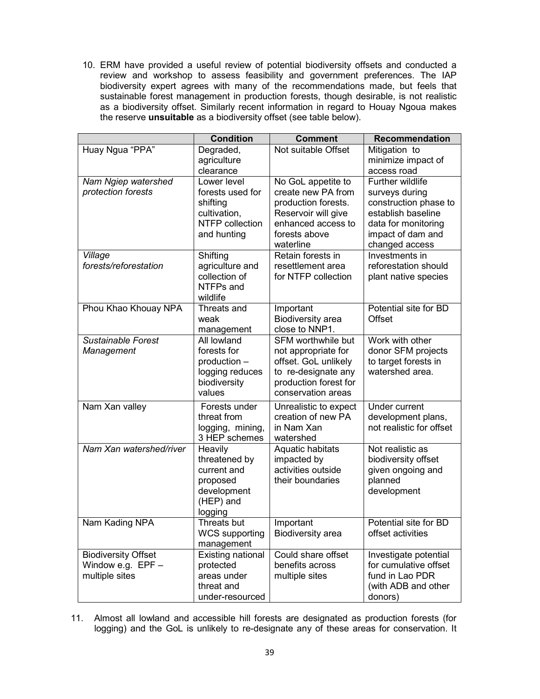10. ERM have provided a useful review of potential biodiversity offsets and conducted a review and workshop to assess feasibility and government preferences. The IAP biodiversity expert agrees with many of the recommendations made, but feels that sustainable forest management in production forests, though desirable, is not realistic as a biodiversity offset. Similarly recent information in regard to Houay Ngoua makes the reserve **unsuitable** as a biodiversity offset (see table below).

|                                                                     | <b>Condition</b>                                                                              | <b>Comment</b>                                                                                                                             | <b>Recommendation</b>                                                                                                                           |
|---------------------------------------------------------------------|-----------------------------------------------------------------------------------------------|--------------------------------------------------------------------------------------------------------------------------------------------|-------------------------------------------------------------------------------------------------------------------------------------------------|
| Huay Ngua "PPA"                                                     | Degraded,<br>agriculture<br>clearance                                                         | Not suitable Offset                                                                                                                        | Mitigation to<br>minimize impact of<br>access road                                                                                              |
| Nam Ngiep watershed<br>protection forests                           | Lower level<br>forests used for<br>shifting<br>cultivation,<br>NTFP collection<br>and hunting | No GoL appetite to<br>create new PA from<br>production forests.<br>Reservoir will give<br>enhanced access to<br>forests above<br>waterline | Further wildlife<br>surveys during<br>construction phase to<br>establish baseline<br>data for monitoring<br>impact of dam and<br>changed access |
| Village<br>forests/reforestation                                    | Shifting<br>agriculture and<br>collection of<br>NTFPs and<br>wildlife                         | Retain forests in<br>resettlement area<br>for NTFP collection                                                                              | Investments in<br>reforestation should<br>plant native species                                                                                  |
| Phou Khao Khouay NPA                                                | Threats and<br>weak<br>management                                                             | Important<br>Biodiversity area<br>close to NNP1.                                                                                           | Potential site for BD<br>Offset                                                                                                                 |
| <b>Sustainable Forest</b><br>Management                             | All lowland<br>forests for<br>production -<br>logging reduces<br>biodiversity<br>values       | SFM worthwhile but<br>not appropriate for<br>offset. GoL unlikely<br>to re-designate any<br>production forest for<br>conservation areas    | Work with other<br>donor SFM projects<br>to target forests in<br>watershed area.                                                                |
| Nam Xan valley                                                      | Forests under<br>threat from<br>logging, mining,<br>3 HEP schemes                             | Unrealistic to expect<br>creation of new PA<br>in Nam Xan<br>watershed                                                                     | Under current<br>development plans,<br>not realistic for offset                                                                                 |
| Nam Xan watershed/river                                             | Heavily<br>threatened by<br>current and<br>proposed<br>development<br>(HEP) and<br>logging    | Aquatic habitats<br>impacted by<br>activities outside<br>their boundaries                                                                  | Not realistic as<br>biodiversity offset<br>given ongoing and<br>planned<br>development                                                          |
| Nam Kading NPA                                                      | Threats but<br><b>WCS supporting</b><br>management                                            | Important<br><b>Biodiversity</b> area                                                                                                      | Potential site for BD<br>offset activities                                                                                                      |
| <b>Biodiversity Offset</b><br>Window e.g. $EPF -$<br>multiple sites | <b>Existing national</b><br>protected<br>areas under<br>threat and<br>under-resourced         | Could share offset<br>benefits across<br>multiple sites                                                                                    | Investigate potential<br>for cumulative offset<br>fund in Lao PDR<br>(with ADB and other<br>donors)                                             |

11. Almost all lowland and accessible hill forests are designated as production forests (for logging) and the GoL is unlikely to re-designate any of these areas for conservation. It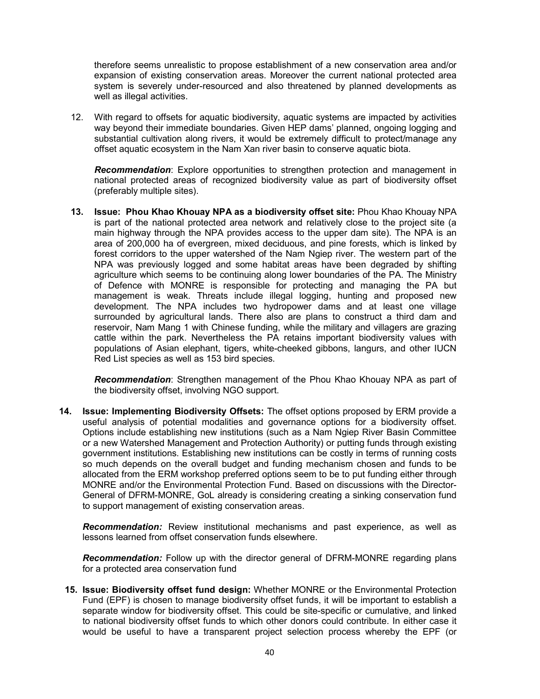therefore seems unrealistic to propose establishment of a new conservation area and/or expansion of existing conservation areas. Moreover the current national protected area system is severely under-resourced and also threatened by planned developments as well as illegal activities.

12. With regard to offsets for aquatic biodiversity, aquatic systems are impacted by activities way beyond their immediate boundaries. Given HEP dams' planned, ongoing logging and substantial cultivation along rivers, it would be extremely difficult to protect/manage any offset aquatic ecosystem in the Nam Xan river basin to conserve aquatic biota.

*Recommendation*: Explore opportunities to strengthen protection and management in national protected areas of recognized biodiversity value as part of biodiversity offset (preferably multiple sites).

**13. Issue: Phou Khao Khouay NPA as a biodiversity offset site:** Phou Khao Khouay NPA is part of the national protected area network and relatively close to the project site (a main highway through the NPA provides access to the upper dam site). The NPA is an area of 200,000 ha of evergreen, mixed deciduous, and pine forests, which is linked by forest corridors to the upper watershed of the Nam Ngiep river. The western part of the NPA was previously logged and some habitat areas have been degraded by shifting agriculture which seems to be continuing along lower boundaries of the PA. The Ministry of Defence with MONRE is responsible for protecting and managing the PA but management is weak. Threats include illegal logging, hunting and proposed new development. The NPA includes two hydropower dams and at least one village surrounded by agricultural lands. There also are plans to construct a third dam and reservoir, Nam Mang 1 with Chinese funding, while the military and villagers are grazing cattle within the park. Nevertheless the PA retains important biodiversity values with populations of Asian elephant, tigers, white-cheeked gibbons, langurs, and other IUCN Red List species as well as 153 bird species.

*Recommendation*: Strengthen management of the Phou Khao Khouay NPA as part of the biodiversity offset, involving NGO support.

**14. Issue: Implementing Biodiversity Offsets:** The offset options proposed by ERM provide a useful analysis of potential modalities and governance options for a biodiversity offset. Options include establishing new institutions (such as a Nam Ngiep River Basin Committee or a new Watershed Management and Protection Authority) or putting funds through existing government institutions. Establishing new institutions can be costly in terms of running costs so much depends on the overall budget and funding mechanism chosen and funds to be allocated from the ERM workshop preferred options seem to be to put funding either through MONRE and/or the Environmental Protection Fund. Based on discussions with the Director-General of DFRM-MONRE, GoL already is considering creating a sinking conservation fund to support management of existing conservation areas.

*Recommendation:* Review institutional mechanisms and past experience, as well as lessons learned from offset conservation funds elsewhere.

*Recommendation:* Follow up with the director general of DFRM-MONRE regarding plans for a protected area conservation fund

**15. Issue: Biodiversity offset fund design:** Whether MONRE or the Environmental Protection Fund (EPF) is chosen to manage biodiversity offset funds, it will be important to establish a separate window for biodiversity offset. This could be site-specific or cumulative, and linked to national biodiversity offset funds to which other donors could contribute. In either case it would be useful to have a transparent project selection process whereby the EPF (or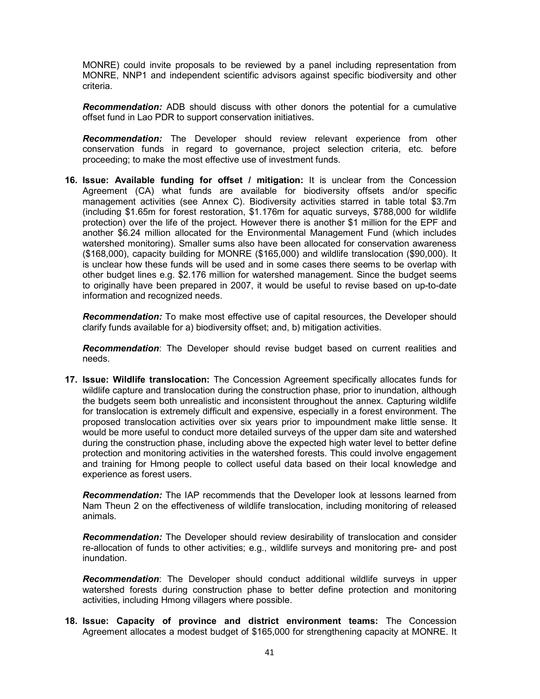MONRE) could invite proposals to be reviewed by a panel including representation from MONRE, NNP1 and independent scientific advisors against specific biodiversity and other criteria.

*Recommendation:* ADB should discuss with other donors the potential for a cumulative offset fund in Lao PDR to support conservation initiatives.

*Recommendation:* The Developer should review relevant experience from other conservation funds in regard to governance, project selection criteria, etc. before proceeding; to make the most effective use of investment funds.

**16. Issue: Available funding for offset / mitigation:** It is unclear from the Concession Agreement (CA) what funds are available for biodiversity offsets and/or specific management activities (see Annex C). Biodiversity activities starred in table total \$3.7m (including \$1.65m for forest restoration, \$1.176m for aquatic surveys, \$788,000 for wildlife protection) over the life of the project. However there is another \$1 million for the EPF and another \$6.24 million allocated for the Environmental Management Fund (which includes watershed monitoring). Smaller sums also have been allocated for conservation awareness (\$168,000), capacity building for MONRE (\$165,000) and wildlife translocation (\$90,000). It is unclear how these funds will be used and in some cases there seems to be overlap with other budget lines e.g. \$2.176 million for watershed management. Since the budget seems to originally have been prepared in 2007, it would be useful to revise based on up-to-date information and recognized needs.

*Recommendation:* To make most effective use of capital resources, the Developer should clarify funds available for a) biodiversity offset; and, b) mitigation activities.

*Recommendation*: The Developer should revise budget based on current realities and needs.

**17. Issue: Wildlife translocation:** The Concession Agreement specifically allocates funds for wildlife capture and translocation during the construction phase, prior to inundation, although the budgets seem both unrealistic and inconsistent throughout the annex. Capturing wildlife for translocation is extremely difficult and expensive, especially in a forest environment. The proposed translocation activities over six years prior to impoundment make little sense. It would be more useful to conduct more detailed surveys of the upper dam site and watershed during the construction phase, including above the expected high water level to better define protection and monitoring activities in the watershed forests. This could involve engagement and training for Hmong people to collect useful data based on their local knowledge and experience as forest users.

*Recommendation:* The IAP recommends that the Developer look at lessons learned from Nam Theun 2 on the effectiveness of wildlife translocation, including monitoring of released animals.

*Recommendation:* The Developer should review desirability of translocation and consider re-allocation of funds to other activities; e.g., wildlife surveys and monitoring pre- and post inundation.

*Recommendation*: The Developer should conduct additional wildlife surveys in upper watershed forests during construction phase to better define protection and monitoring activities, including Hmong villagers where possible.

**18. Issue: Capacity of province and district environment teams:** The Concession Agreement allocates a modest budget of \$165,000 for strengthening capacity at MONRE. It